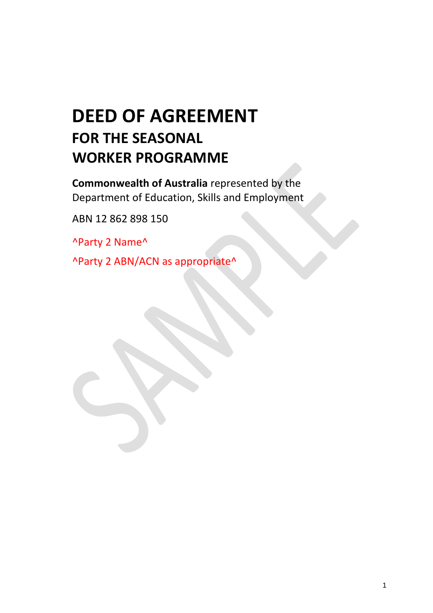# **DEED OF AGREEMENT FOR THE SEASONAL WORKER PROGRAMME**

**Commonwealth of Australia** represented by the Department of Education, Skills and Employment

ABN 12 862 898 150

^Party 2 Name^

^Party 2 ABN/ACN as appropriate^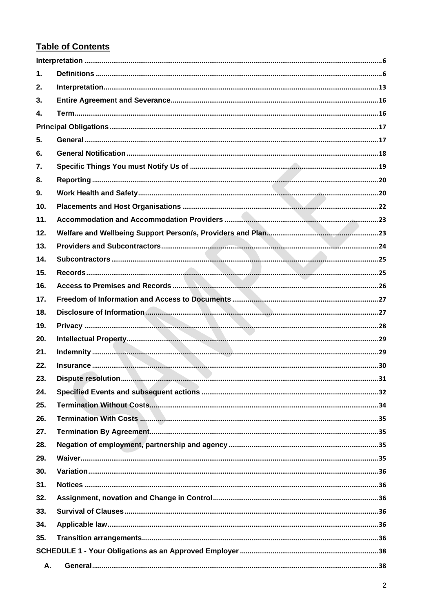## **Table of Contents**

| 1.  |  |
|-----|--|
| 2.  |  |
| 3.  |  |
| 4.  |  |
|     |  |
| 5.  |  |
| 6.  |  |
| 7.  |  |
| 8.  |  |
| 9.  |  |
| 10. |  |
| 11. |  |
| 12. |  |
| 13. |  |
| 14. |  |
| 15. |  |
| 16. |  |
| 17. |  |
| 18. |  |
| 19. |  |
|     |  |
| 20. |  |
| 21. |  |
| 22. |  |
| 23. |  |
| 24. |  |
| 25. |  |
| 26. |  |
| 27. |  |
| 28. |  |
| 29. |  |
| 30. |  |
| 31. |  |
| 32. |  |
| 33. |  |
| 34. |  |
| 35. |  |
|     |  |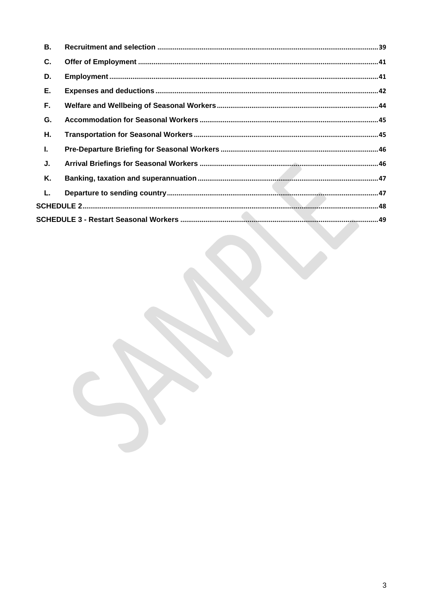| В. |  |
|----|--|
| C. |  |
| D. |  |
| Е. |  |
| F. |  |
| G. |  |
| Η. |  |
| I. |  |
| J. |  |
| Κ. |  |
| L. |  |
|    |  |
|    |  |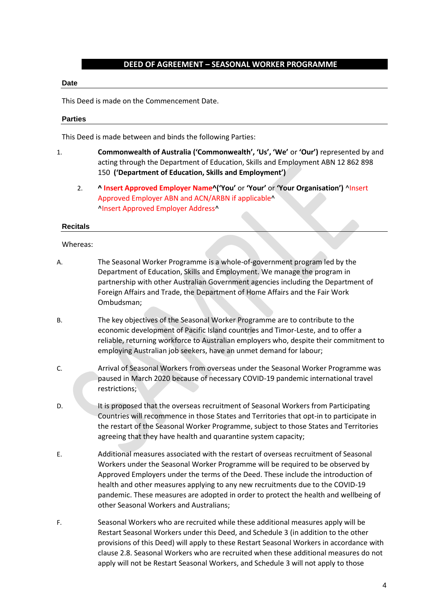#### **DEED OF AGREEMENT – SEASONAL WORKER PROGRAMME**

#### **Date**

This Deed is made on the Commencement Date.

#### **Parties**

This Deed is made between and binds the following Parties:

- <span id="page-3-0"></span>1. **Commonwealth of Australia ('Commonwealth', 'Us', 'We'** or **'Our')** represented by and acting through the Department of Education, Skills and Employment ABN 12 862 898 150 **('Department of Education, Skills and Employment')**
	- 2. **^ Insert Approved Employer Name^('You'** or **'Your'** or **'Your Organisation')** ^Insert Approved Employer ABN and ACN/ARBN if applicable^ ^Insert Approved Employer Address^

#### **Recitals**

Whereas:

- A. The Seasonal Worker Programme is a whole-of-government program led by the Department of Education, Skills and Employment. We manage the program in partnership with other Australian Government agencies including the Department of Foreign Affairs and Trade, the Department of Home Affairs and the Fair Work Ombudsman;
- B. The key objectives of the Seasonal Worker Programme are to contribute to the economic development of Pacific Island countries and Timor-Leste, and to offer a reliable, returning workforce to Australian employers who, despite their commitment to employing Australian job seekers, have an unmet demand for labour;
- C. Arrival of Seasonal Workers from overseas under the Seasonal Worker Programme was paused in March 2020 because of necessary COVID-19 pandemic international travel restrictions;
- D. It is proposed that the overseas recruitment of Seasonal Workers from Participating Countries will recommence in those States and Territories that opt-in to participate in the restart of the Seasonal Worker Programme, subject to those States and Territories agreeing that they have health and quarantine system capacity;
- E. Additional measures associated with the restart of overseas recruitment of Seasonal Workers under the Seasonal Worker Programme will be required to be observed by Approved Employers under the terms of the Deed. These include the introduction of health and other measures applying to any new recruitments due to the COVID-19 pandemic. These measures are adopted in order to protect the health and wellbeing of other Seasonal Workers and Australians;
- F. Seasonal Workers who are recruited while these additional measures apply will be Restart Seasonal Workers under this Deed, and Schedule 3 (in addition to the other provisions of this Deed) will apply to these Restart Seasonal Workers in accordance with clause 2.8. Seasonal Workers who are recruited when these additional measures do not apply will not be Restart Seasonal Workers, and Schedule 3 will not apply to those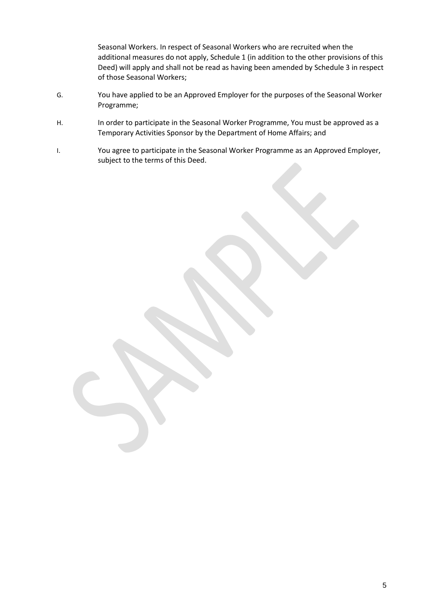Seasonal Workers. In respect of Seasonal Workers who are recruited when the additional measures do not apply, Schedule 1 (in addition to the other provisions of this Deed) will apply and shall not be read as having been amended by Schedule 3 in respect of those Seasonal Workers;

- G. You have applied to be an Approved Employer for the purposes of the Seasonal Worker Programme;
- H. In order to participate in the Seasonal Worker Programme, You must be approved as a Temporary Activities Sponsor by the Department of Home Affairs; and
- I. You agree to participate in the Seasonal Worker Programme as an Approved Employer, subject to the terms of this Deed.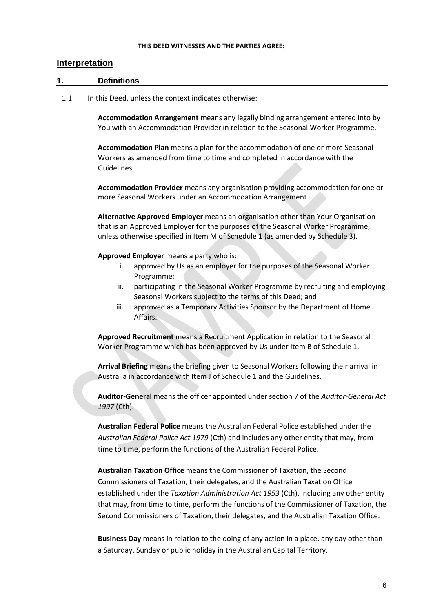#### **THIS DEED WITNESSES AND THE PARTIES AGREE:**

#### <span id="page-5-0"></span>**Interpretation**

#### <span id="page-5-1"></span>**1. Definitions**

1.1. In this Deed, unless the context indicates otherwise:

**Accommodation Arrangement** means any legally binding arrangement entered into by You with an Accommodation Provider in relation to the Seasonal Worker Programme.

**Accommodation Plan** means a plan for the accommodation of one or more Seasonal Workers as amended from time to time and completed in accordance with the Guidelines.

**Accommodation Provider** means any organisation providing accommodation for one or more Seasonal Workers under an Accommodation Arrangement.

**Alternative Approved Employer** means an organisation other than Your Organisation that is an Approved Employer for the purposes of the Seasonal Worker Programme, unless otherwise specified in Item M of Schedule 1 (as amended by Schedule 3).

**Approved Employer** means a party who is:

- i. approved by Us as an employer for the purposes of the Seasonal Worker Programme;
- ii. participating in the Seasonal Worker Programme by recruiting and employing Seasonal Workers subject to the terms of this Deed; and
- iii. approved as a Temporary Activities Sponsor by the Department of Home Affairs.

**Approved Recruitment** means a Recruitment Application in relation to the Seasonal Worker Programme which has been approved by Us under Item B of Schedule 1.

**Arrival Briefing** means the briefing given to Seasonal Workers following their arrival in Australia in accordance with Item J of Schedule 1 and the Guidelines.

**Auditor-General** means the officer appointed under section 7 of the *Auditor-General Act 1997* (Cth).

**Australian Federal Police** means the Australian Federal Police established under the *Australian Federal Police Act 1979* (Cth) and includes any other entity that may, from time to time, perform the functions of the Australian Federal Police.

**Australian Taxation Office** means the Commissioner of Taxation, the Second Commissioners of Taxation, their delegates, and the Australian Taxation Office established under the *Taxation Administration Act 1953* (Cth), including any other entity that may, from time to time, perform the functions of the Commissioner of Taxation, the Second Commissioners of Taxation, their delegates, and the Australian Taxation Office.

**Business Day** means in relation to the doing of any action in a place, any day other than a Saturday, Sunday or public holiday in the Australian Capital Territory.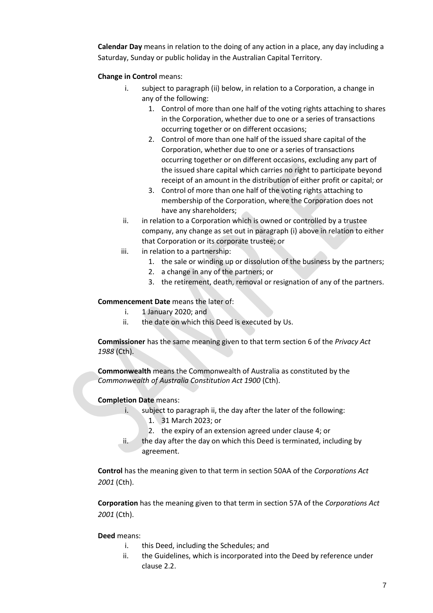**Calendar Day** means in relation to the doing of any action in a place, any day including a Saturday, Sunday or public holiday in the Australian Capital Territory.

#### **Change in Control** means:

- i. subject to paragraph (ii) below, in relation to a Corporation, a change in any of the following:
	- 1. Control of more than one half of the voting rights attaching to shares in the Corporation, whether due to one or a series of transactions occurring together or on different occasions;
	- 2. Control of more than one half of the issued share capital of the Corporation, whether due to one or a series of transactions occurring together or on different occasions, excluding any part of the issued share capital which carries no right to participate beyond receipt of an amount in the distribution of either profit or capital; or
	- 3. Control of more than one half of the voting rights attaching to membership of the Corporation, where the Corporation does not have any shareholders;
- ii. in relation to a Corporation which is owned or controlled by a trustee company, any change as set out in paragraph (i) above in relation to either that Corporation or its corporate trustee; or
- iii. in relation to a partnership:
	- 1. the sale or winding up or dissolution of the business by the partners;
	- 2. a change in any of the partners; or
	- 3. the retirement, death, removal or resignation of any of the partners.

#### **Commencement Date** means the later of:

- i. 1 January 2020; and
- ii. the date on which this Deed is executed by Us.

**Commissioner** has the same meaning given to that term section 6 of the *Privacy Act 1988* (Cth).

**Commonwealth** means the Commonwealth of Australia as constituted by the *Commonwealth of Australia Constitution Act 1900* (Cth).

#### **Completion Date** means:

- i. subject to paragraph ii, the day after the later of the following:
	- 1. 31 March 2023; or
	- 2. the expiry of an extension agreed under clause 4; or
- ii. the day after the day on which this Deed is terminated, including by agreement.

**Control** has the meaning given to that term in section 50AA of the *Corporations Act 2001* (Cth).

**Corporation** has the meaning given to that term in section 57A of the *Corporations Act 2001* (Cth).

#### **Deed** means:

- i. this Deed, including the Schedules; and
- ii. the Guidelines, which is incorporated into the Deed by reference under clause 2.2.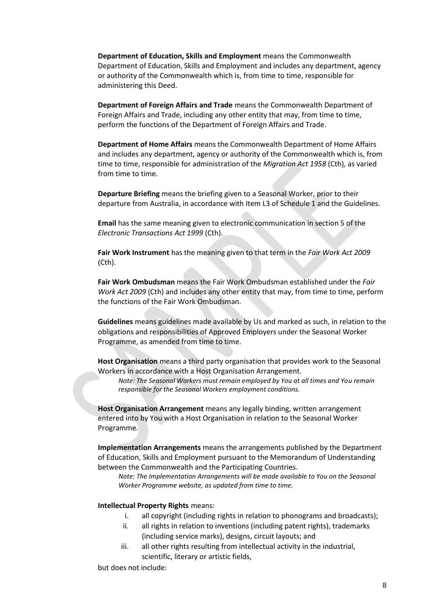**Department of Education, Skills and Employment** means the Commonwealth Department of Education, Skills and Employment and includes any department, agency or authority of the Commonwealth which is, from time to time, responsible for administering this Deed.

**Department of Foreign Affairs and Trade** means the Commonwealth Department of Foreign Affairs and Trade, including any other entity that may, from time to time, perform the functions of the Department of Foreign Affairs and Trade.

**Department of Home Affairs** means the Commonwealth Department of Home Affairs and includes any department, agency or authority of the Commonwealth which is, from time to time, responsible for administration of the *Migration Act 1958* (Cth)*,* as varied from time to time*.* 

**Departure Briefing** means the briefing given to a Seasonal Worker, prior to their departure from Australia, in accordance with Item L3 of Schedule 1 and the Guidelines.

**Email** has the same meaning given to electronic communication in section 5 of the *Electronic Transactions Act 1999* (Cth).

**Fair Work Instrument** has the meaning given to that term in the *Fair Work Act 2009*  (Cth).

**Fair Work Ombudsman** means the Fair Work Ombudsman established under the *Fair Work Act 2009* (Cth) and includes any other entity that may, from time to time, perform the functions of the Fair Work Ombudsman.

**Guidelines** means guidelines made available by Us and marked as such, in relation to the obligations and responsibilities of Approved Employers under the Seasonal Worker Programme, as amended from time to time.

**Host Organisation** means a third party organisation that provides work to the Seasonal Workers in accordance with a Host Organisation Arrangement.

*Note: The Seasonal Workers must remain employed by You at all times and You remain responsible for the Seasonal Workers employment conditions.* 

**Host Organisation Arrangement** means any legally binding, written arrangement entered into by You with a Host Organisation in relation to the Seasonal Worker Programme.

**Implementation Arrangements** means the arrangements published by the Department of Education, Skills and Employment pursuant to the Memorandum of Understanding between the Commonwealth and the Participating Countries.

*Note: The Implementation Arrangements will be made available to You on the Seasonal Worker Programme website, as updated from time to time.*

#### **Intellectual Property Rights** means:

- i. all copyright (including rights in relation to phonograms and broadcasts);
- ii. all rights in relation to inventions (including patent rights), trademarks (including service marks), designs, circuit layouts; and
- iii. all other rights resulting from intellectual activity in the industrial, scientific, literary or artistic fields,

but does not include: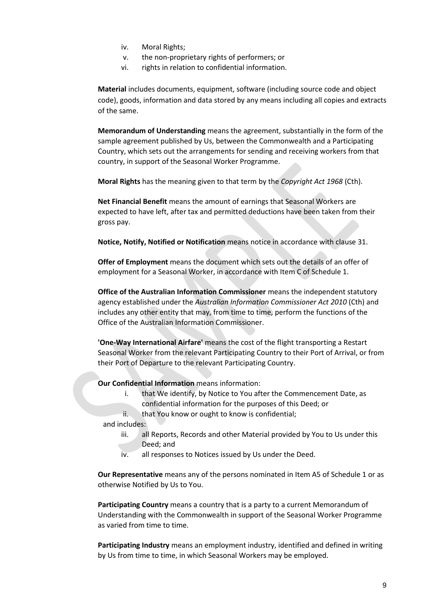- iv. Moral Rights;
- v. the non-proprietary rights of performers; or
- vi. rights in relation to confidential information.

**Material** includes documents, equipment, software (including source code and object code), goods, information and data stored by any means including all copies and extracts of the same.

**Memorandum of Understanding** means the agreement, substantially in the form of the sample agreement published by Us, between the Commonwealth and a Participating Country, which sets out the arrangements for sending and receiving workers from that country, in support of the Seasonal Worker Programme.

**Moral Rights** has the meaning given to that term by the *Copyright Act 1968* (Cth).

**Net Financial Benefit** means the amount of earnings that Seasonal Workers are expected to have left, after tax and permitted deductions have been taken from their gross pay.

**Notice, Notify, Notified or Notification** means notice in accordance with clause 31.

**Offer of Employment** means the document which sets out the details of an offer of employment for a Seasonal Worker, in accordance with Item C of Schedule 1.

**Office of the Australian Information Commissioner** means the independent statutory agency established under the *Australian Information Commissioner Act 2010* (Cth) and includes any other entity that may, from time to time, perform the functions of the Office of the Australian Information Commissioner.

**'One-Way International Airfare'** means the cost of the flight transporting a Restart Seasonal Worker from the relevant Participating Country to their Port of Arrival, or from their Port of Departure to the relevant Participating Country.

**Our Confidential Information** means information:

- i. that We identify, by Notice to You after the Commencement Date, as confidential information for the purposes of this Deed; or
- ii. that You know or ought to know is confidential;

and includes:

- iii. all Reports, Records and other Material provided by You to Us under this Deed; and
- iv. all responses to Notices issued by Us under the Deed.

**Our Representative** means any of the persons nominated in Item A5 of Schedule 1 or as otherwise Notified by Us to You.

**Participating Country** means a country that is a party to a current Memorandum of Understanding with the Commonwealth in support of the Seasonal Worker Programme as varied from time to time.

**Participating Industry** means an employment industry, identified and defined in writing by Us from time to time, in which Seasonal Workers may be employed.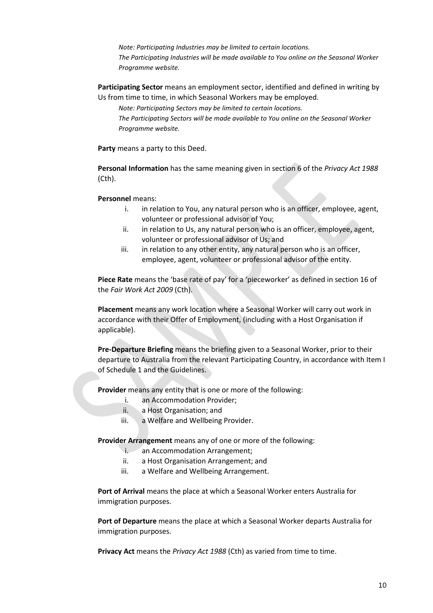*Note: Participating Industries may be limited to certain locations. The Participating Industries will be made available to You online on the Seasonal Worker Programme website.*

**Participating Sector** means an employment sector, identified and defined in writing by Us from time to time, in which Seasonal Workers may be employed.

*Note: Participating Sectors may be limited to certain locations.* 

*The Participating Sectors will be made available to You online on the Seasonal Worker Programme website.*

**Party** means a party to this Deed.

**Personal Information** has the same meaning given in section 6 of the *Privacy Act 1988* (Cth).

**Personnel** means:

- i. in relation to You, any natural person who is an officer, employee, agent, volunteer or professional advisor of You;
- ii. in relation to Us, any natural person who is an officer, employee, agent, volunteer or professional advisor of Us; and
- iii. in relation to any other entity, any natural person who is an officer, employee, agent, volunteer or professional advisor of the entity.

**Piece Rate** means the 'base rate of pay' for a 'pieceworker' as defined in section 16 of the *Fair Work Act 2009* (Cth).

**Placement** means any work location where a Seasonal Worker will carry out work in accordance with their Offer of Employment, (including with a Host Organisation if applicable).

**Pre-Departure Briefing** means the briefing given to a Seasonal Worker, prior to their departure to Australia from the relevant Participating Country, in accordance with Item I of Schedule 1 and the Guidelines.

**Provider** means any entity that is one or more of the following:

- i. an Accommodation Provider;
- ii. a Host Organisation; and
- iii. a Welfare and Wellbeing Provider.

**Provider Arrangement** means any of one or more of the following:

- i. an Accommodation Arrangement;
- ii. a Host Organisation Arrangement; and
- iii. a Welfare and Wellbeing Arrangement.

**Port of Arrival** means the place at which a Seasonal Worker enters Australia for immigration purposes.

**Port of Departure** means the place at which a Seasonal Worker departs Australia for immigration purposes.

**Privacy Act** means the *Privacy Act 1988* (Cth) as varied from time to time.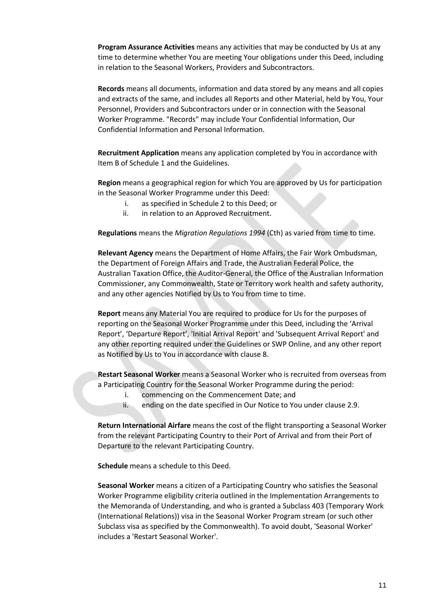**Program Assurance Activities** means any activities that may be conducted by Us at any time to determine whether You are meeting Your obligations under this Deed, including in relation to the Seasonal Workers, Providers and Subcontractors.

**Records** means all documents, information and data stored by any means and all copies and extracts of the same, and includes all Reports and other Material, held by You, Your Personnel, Providers and Subcontractors under or in connection with the Seasonal Worker Programme. "Records" may include Your Confidential Information, Our Confidential Information and Personal Information.

**Recruitment Application** means any application completed by You in accordance with Item B of Schedule 1 and the Guidelines.

**Region** means a geographical region for which You are approved by Us for participation in the Seasonal Worker Programme under this Deed:

- i. as specified in Schedule 2 to this Deed; or
- ii. in relation to an Approved Recruitment.

**Regulations** means the *Migration Regulations 1994* (Cth) as varied from time to time.

**Relevant Agency** means the Department of Home Affairs, the Fair Work Ombudsman, the Department of Foreign Affairs and Trade, the Australian Federal Police, the Australian Taxation Office, the Auditor-General, the Office of the Australian Information Commissioner, any Commonwealth, State or Territory work health and safety authority, and any other agencies Notified by Us to You from time to time.

**Report** means any Material You are required to produce for Us for the purposes of reporting on the Seasonal Worker Programme under this Deed, including the 'Arrival Report', 'Departure Report', 'Initial Arrival Report' and 'Subsequent Arrival Report' and any other reporting required under the Guidelines or SWP Online, and any other report as Notified by Us to You in accordance with clause 8.

**Restart Seasonal Worker** means a Seasonal Worker who is recruited from overseas from a Participating Country for the Seasonal Worker Programme during the period:

- i. commencing on the Commencement Date; and
- ii. ending on the date specified in Our Notice to You under claus[e 2.9.](#page-14-0)

**Return International Airfare** means the cost of the flight transporting a Seasonal Worker from the relevant Participating Country to their Port of Arrival and from their Port of Departure to the relevant Participating Country.

**Schedule** means a schedule to this Deed.

**Seasonal Worker** means a citizen of a Participating Country who satisfies the Seasonal Worker Programme eligibility criteria outlined in the Implementation Arrangements to the Memoranda of Understanding, and who is granted a Subclass 403 (Temporary Work (International Relations)) visa in the Seasonal Worker Program stream (or such other Subclass visa as specified by the Commonwealth). To avoid doubt, 'Seasonal Worker' includes a 'Restart Seasonal Worker'.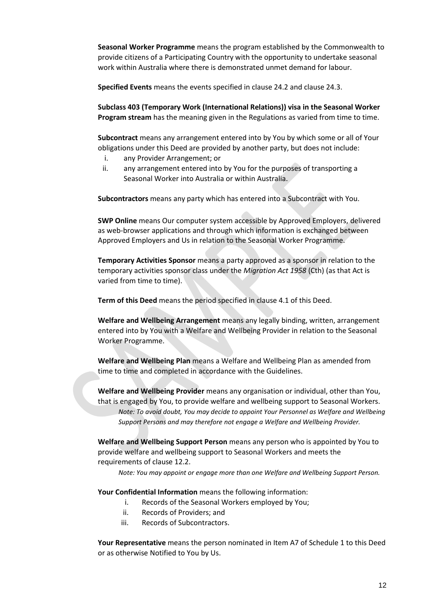**Seasonal Worker Programme** means the program established by the Commonwealth to provide citizens of a Participating Country with the opportunity to undertake seasonal work within Australia where there is demonstrated unmet demand for labour.

**Specified Events** means the events specified in clause 24.2 and clause 24.3.

**Subclass 403 (Temporary Work (International Relations)) visa in the Seasonal Worker Program stream** has the meaning given in the Regulations as varied from time to time.

**Subcontract** means any arrangement entered into by You by which some or all of Your obligations under this Deed are provided by another party, but does not include:

- i. any Provider Arrangement; or
- ii. any arrangement entered into by You for the purposes of transporting a Seasonal Worker into Australia or within Australia.

**Subcontractors** means any party which has entered into a Subcontract with You.

**SWP Online** means Our computer system accessible by Approved Employers, delivered as web-browser applications and through which information is exchanged between Approved Employers and Us in relation to the Seasonal Worker Programme.

**Temporary Activities Sponsor** means a party approved as a sponsor in relation to the temporary activities sponsor class under the *Migration Act 1958* (Cth) (as that Act is varied from time to time).

**Term of this Deed** means the period specified in clause 4.1 of this Deed.

**Welfare and Wellbeing Arrangement** means any legally binding, written, arrangement entered into by You with a Welfare and Wellbeing Provider in relation to the Seasonal Worker Programme.

**Welfare and Wellbeing Plan** means a Welfare and Wellbeing Plan as amended from time to time and completed in accordance with the Guidelines.

**Welfare and Wellbeing Provider** means any organisation or individual, other than You, that is engaged by You, to provide welfare and wellbeing support to Seasonal Workers. *Note: To avoid doubt, You may decide to appoint Your Personnel as Welfare and Wellbeing Support Persons and may therefore not engage a Welfare and Wellbeing Provider.* 

**Welfare and Wellbeing Support Person** means any person who is appointed by You to provide welfare and wellbeing support to Seasonal Workers and meets the requirements of clause 12.2.

*Note: You may appoint or engage more than one Welfare and Wellbeing Support Person.* 

**Your Confidential Information** means the following information:

- i. Records of the Seasonal Workers employed by You;
- ii. Records of Providers; and
- iii. Records of Subcontractors.

**Your Representative** means the person nominated in Item A7 of Schedule 1 to this Deed or as otherwise Notified to You by Us.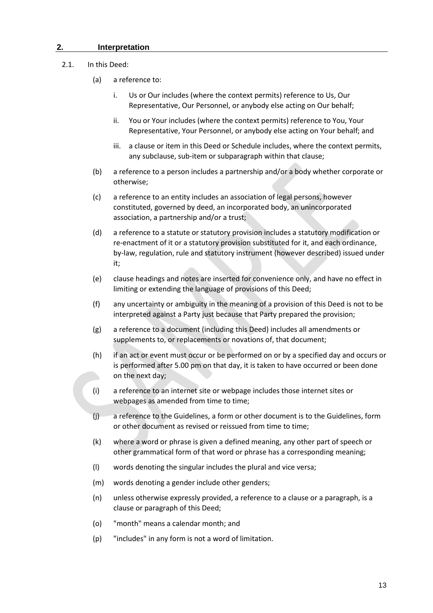#### <span id="page-12-0"></span>**2. Interpretation**

#### 2.1. In this Deed:

- (a) a reference to:
	- i. Us or Our includes (where the context permits) reference to Us, Our Representative, Our Personnel, or anybody else acting on Our behalf;
	- ii. You or Your includes (where the context permits) reference to You, Your Representative, Your Personnel, or anybody else acting on Your behalf; and
	- iii. a clause or item in this Deed or Schedule includes, where the context permits, any subclause, sub-item or subparagraph within that clause;
- (b) a reference to a person includes a partnership and/or a body whether corporate or otherwise;
- (c) a reference to an entity includes an association of legal persons, however constituted, governed by deed, an incorporated body, an unincorporated association, a partnership and/or a trust;
- (d) a reference to a statute or statutory provision includes a statutory modification or re-enactment of it or a statutory provision substituted for it, and each ordinance, by-law, regulation, rule and statutory instrument (however described) issued under it;
- (e) clause headings and notes are inserted for convenience only, and have no effect in limiting or extending the language of provisions of this Deed;
- (f) any uncertainty or ambiguity in the meaning of a provision of this Deed is not to be interpreted against a Party just because that Party prepared the provision;
- (g) a reference to a document (including this Deed) includes all amendments or supplements to, or replacements or novations of, that document;
- (h) if an act or event must occur or be performed on or by a specified day and occurs or is performed after 5.00 pm on that day, it is taken to have occurred or been done on the next day;
- (i) a reference to an internet site or webpage includes those internet sites or webpages as amended from time to time;
- (j) a reference to the Guidelines, a form or other document is to the Guidelines, form or other document as revised or reissued from time to time;
- (k) where a word or phrase is given a defined meaning, any other part of speech or other grammatical form of that word or phrase has a corresponding meaning;
- (l) words denoting the singular includes the plural and vice versa;
- (m) words denoting a gender include other genders;
- (n) unless otherwise expressly provided, a reference to a clause or a paragraph, is a clause or paragraph of this Deed;
- (o) "month" means a calendar month; and
- (p) "includes" in any form is not a word of limitation.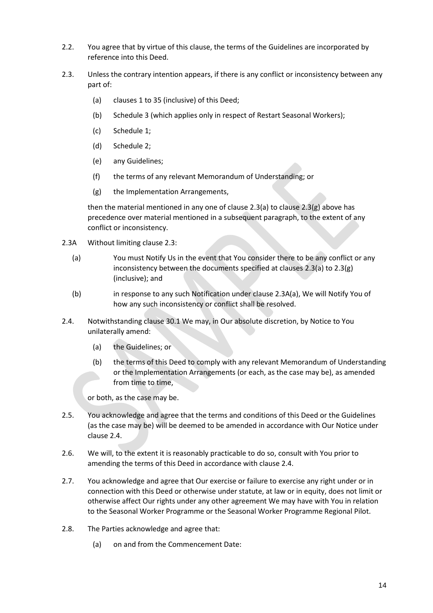- 2.2. You agree that by virtue of this clause, the terms of the Guidelines are incorporated by reference into this Deed.
- <span id="page-13-1"></span><span id="page-13-0"></span>2.3. Unless the contrary intention appears, if there is any conflict or inconsistency between any part of:
	- (a) clause[s 1](#page-3-0) t[o 35](#page-35-5) (inclusive) of this Deed;
	- (b) Schedule 3 (which applies only in respect of Restart Seasonal Workers);
	- (c) Schedule 1;
	- (d) Schedule 2;
	- (e) any Guidelines;
	- (f) the terms of any relevant Memorandum of Understanding; or
	- (g) the Implementation Arrangements,

<span id="page-13-2"></span>then the material mentioned in any one of claus[e 2.3](#page-13-0)[\(a\)](#page-13-1) to claus[e 2.3](#page-13-0)[\(g\)](#page-13-2) above has precedence over material mentioned in a subsequent paragraph, to the extent of any conflict or inconsistency.

- 2.3A Without limiting claus[e 2.3:](#page-13-0)
	- (a) You must Notify Us in the event that You consider there to be any conflict or any inconsistency between the documents specified at clauses [2.3](#page-13-0)[\(a\)](#page-13-1) t[o 2.3](#page-13-0)[\(g\)](#page-13-2) (inclusive); and
	- (b) in response to any such Notification under clause 2.3A(a), We will Notify You of how any such inconsistency or conflict shall be resolved.
- 2.4. Notwithstanding clause 30.1 We may, in Our absolute discretion, by Notice to You unilaterally amend:
	- (a) the Guidelines; or
	- (b) the terms of this Deed to comply with any relevant Memorandum of Understanding or the Implementation Arrangements (or each, as the case may be), as amended from time to time,

or both, as the case may be.

- 2.5. You acknowledge and agree that the terms and conditions of this Deed or the Guidelines (as the case may be) will be deemed to be amended in accordance with Our Notice under clause 2.4.
- 2.6. We will, to the extent it is reasonably practicable to do so, consult with You prior to amending the terms of this Deed in accordance with clause 2.4.
- 2.7. You acknowledge and agree that Our exercise or failure to exercise any right under or in connection with this Deed or otherwise under statute, at law or in equity, does not limit or otherwise affect Our rights under any other agreement We may have with You in relation to the Seasonal Worker Programme or the Seasonal Worker Programme Regional Pilot.
- <span id="page-13-3"></span>2.8. The Parties acknowledge and agree that:
	- (a) on and from the Commencement Date: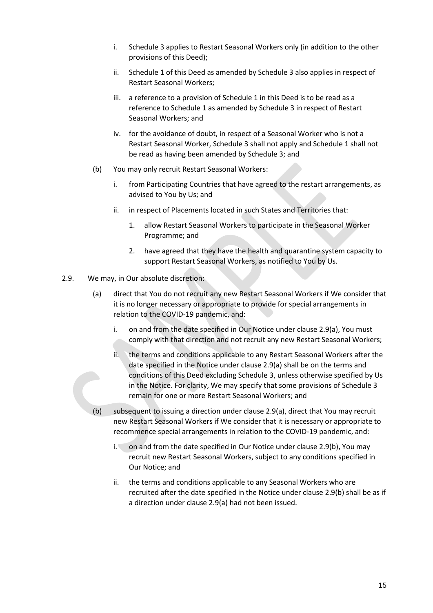- i. Schedule 3 applies to Restart Seasonal Workers only (in addition to the other provisions of this Deed);
- ii. Schedule 1 of this Deed as amended by Schedule 3 also applies in respect of Restart Seasonal Workers;
- iii. a reference to a provision of Schedule 1 in this Deed is to be read as a reference to Schedule 1 as amended by Schedule 3 in respect of Restart Seasonal Workers; and
- iv. for the avoidance of doubt, in respect of a Seasonal Worker who is not a Restart Seasonal Worker, Schedule 3 shall not apply and Schedule 1 shall not be read as having been amended by Schedule 3; and
- (b) You may only recruit Restart Seasonal Workers:
	- i. from Participating Countries that have agreed to the restart arrangements, as advised to You by Us; and
	- ii. in respect of Placements located in such States and Territories that:
		- 1. allow Restart Seasonal Workers to participate in the Seasonal Worker Programme; and
		- 2. have agreed that they have the health and quarantine system capacity to support Restart Seasonal Workers, as notified to You by Us.
- <span id="page-14-1"></span><span id="page-14-0"></span>2.9. We may, in Our absolute discretion:
	- (a) direct that You do not recruit any new Restart Seasonal Workers if We consider that it is no longer necessary or appropriate to provide for special arrangements in relation to the COVID-19 pandemic, and:
		- i. on and from the date specified in Our Notice under clause [2.9\(a\),](#page-14-1) You must comply with that direction and not recruit any new Restart Seasonal Workers;
		- ii. the terms and conditions applicable to any Restart Seasonal Workers after the date specified in the Notice under clause [2.9\(a\)](#page-14-1) shall be on the terms and conditions of this Deed excluding Schedule 3, unless otherwise specified by Us in the Notice. For clarity, We may specify that some provisions of Schedule 3 remain for one or more Restart Seasonal Workers; and
	- (b) subsequent to issuing a direction under claus[e 2.9\(a\),](#page-14-1) direct that You may recruit new Restart Seasonal Workers if We consider that it is necessary or appropriate to recommence special arrangements in relation to the COVID-19 pandemic, and:
		- i. on and from the date specified in Our Notice under clause 2.9(b), You may recruit new Restart Seasonal Workers, subject to any conditions specified in Our Notice; and
		- ii. the terms and conditions applicable to any Seasonal Workers who are recruited after the date specified in the Notice under clause 2.9(b) shall be as if a direction under clause [2.9\(a\)](#page-14-1) had not been issued.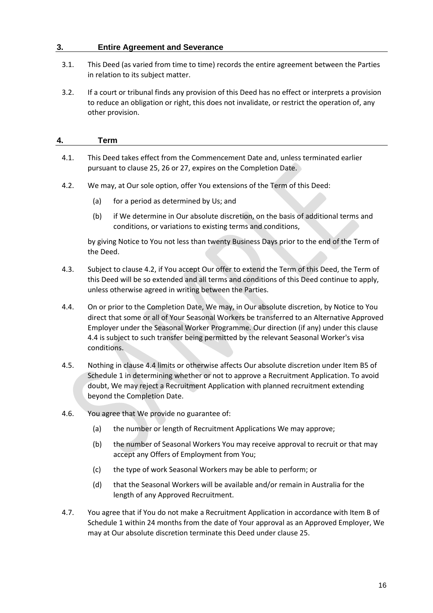## <span id="page-15-0"></span>**3. Entire Agreement and Severance**

- 3.1. This Deed (as varied from time to time) records the entire agreement between the Parties in relation to its subject matter.
- 3.2. If a court or tribunal finds any provision of this Deed has no effect or interprets a provision to reduce an obligation or right, this does not invalidate, or restrict the operation of, any other provision.

# <span id="page-15-1"></span>**4. Term**

- 4.1. This Deed takes effect from the Commencement Date and, unless terminated earlier pursuant to clause 25, 26 or 27, expires on the Completion Date.
- 4.2. We may, at Our sole option, offer You extensions of the Term of this Deed:
	- (a) for a period as determined by Us; and
	- (b) if We determine in Our absolute discretion, on the basis of additional terms and conditions, or variations to existing terms and conditions,

by giving Notice to You not less than twenty Business Days prior to the end of the Term of the Deed.

- 4.3. Subject to clause 4.2, if You accept Our offer to extend the Term of this Deed, the Term of this Deed will be so extended and all terms and conditions of this Deed continue to apply, unless otherwise agreed in writing between the Parties.
- 4.4. On or prior to the Completion Date, We may, in Our absolute discretion, by Notice to You direct that some or all of Your Seasonal Workers be transferred to an Alternative Approved Employer under the Seasonal Worker Programme*.* Our direction (if any) under this clause 4.4 is subject to such transfer being permitted by the relevant Seasonal Worker's visa conditions.
- 4.5. Nothing in clause 4.4 limits or otherwise affects Our absolute discretion under Item B5 of Schedule 1 in determining whether or not to approve a Recruitment Application. To avoid doubt, We may reject a Recruitment Application with planned recruitment extending beyond the Completion Date.
- 4.6. You agree that We provide no guarantee of:
	- (a) the number or length of Recruitment Applications We may approve;
	- (b) the number of Seasonal Workers You may receive approval to recruit or that may accept any Offers of Employment from You;
	- (c) the type of work Seasonal Workers may be able to perform; or
	- (d) that the Seasonal Workers will be available and/or remain in Australia for the length of any Approved Recruitment.
- 4.7. You agree that if You do not make a Recruitment Application in accordance with Item B of Schedule 1 within 24 months from the date of Your approval as an Approved Employer, We may at Our absolute discretion terminate this Deed under clause 25.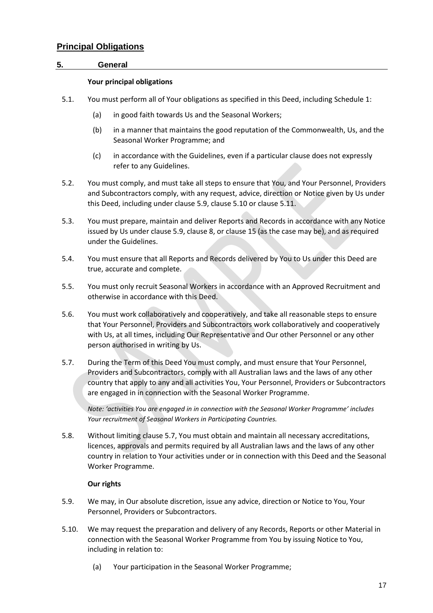## <span id="page-16-0"></span>**Principal Obligations**

#### <span id="page-16-1"></span>**5. General**

#### **Your principal obligations**

- 5.1. You must perform all of Your obligations as specified in this Deed, including Schedule 1:
	- (a) in good faith towards Us and the Seasonal Workers;
	- (b) in a manner that maintains the good reputation of the Commonwealth, Us, and the Seasonal Worker Programme; and
	- (c) in accordance with the Guidelines, even if a particular clause does not expressly refer to any Guidelines.
- 5.2. You must comply, and must take all steps to ensure that You, and Your Personnel, Providers and Subcontractors comply, with any request, advice, direction or Notice given by Us under this Deed, including under clause 5.9, clause 5.10 or clause 5.11.
- 5.3. You must prepare, maintain and deliver Reports and Records in accordance with any Notice issued by Us under clause 5.9, clause 8, or clause 15 (as the case may be), and as required under the Guidelines.
- 5.4. You must ensure that all Reports and Records delivered by You to Us under this Deed are true, accurate and complete.
- 5.5. You must only recruit Seasonal Workers in accordance with an Approved Recruitment and otherwise in accordance with this Deed.
- 5.6. You must work collaboratively and cooperatively, and take all reasonable steps to ensure that Your Personnel, Providers and Subcontractors work collaboratively and cooperatively with Us, at all times, including Our Representative and Our other Personnel or any other person authorised in writing by Us.
- 5.7. During the Term of this Deed You must comply, and must ensure that Your Personnel, Providers and Subcontractors, comply with all Australian laws and the laws of any other country that apply to any and all activities You, Your Personnel, Providers or Subcontractors are engaged in in connection with the Seasonal Worker Programme.

*Note: 'activities You are engaged in in connection with the Seasonal Worker Programme' includes Your recruitment of Seasonal Workers in Participating Countries.*

5.8. Without limiting clause 5.7, You must obtain and maintain all necessary accreditations, licences, approvals and permits required by all Australian laws and the laws of any other country in relation to Your activities under or in connection with this Deed and the Seasonal Worker Programme.

#### **Our rights**

- 5.9. We may, in Our absolute discretion, issue any advice, direction or Notice to You, Your Personnel, Providers or Subcontractors.
- 5.10. We may request the preparation and delivery of any Records, Reports or other Material in connection with the Seasonal Worker Programme from You by issuing Notice to You, including in relation to:
	- (a) Your participation in the Seasonal Worker Programme;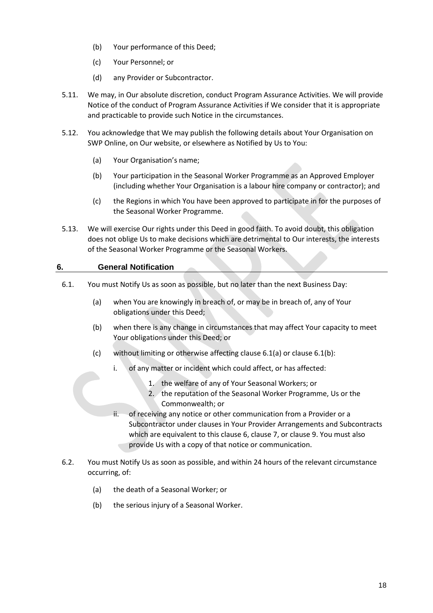- (b) Your performance of this Deed;
- (c) Your Personnel; or
- (d) any Provider or Subcontractor.
- 5.11. We may, in Our absolute discretion, conduct Program Assurance Activities. We will provide Notice of the conduct of Program Assurance Activities if We consider that it is appropriate and practicable to provide such Notice in the circumstances.
- 5.12. You acknowledge that We may publish the following details about Your Organisation on SWP Online, on Our website, or elsewhere as Notified by Us to You:
	- (a) Your Organisation's name;
	- (b) Your participation in the Seasonal Worker Programme as an Approved Employer (including whether Your Organisation is a labour hire company or contractor); and
	- (c) the Regions in which You have been approved to participate in for the purposes of the Seasonal Worker Programme.
- 5.13. We will exercise Our rights under this Deed in good faith. To avoid doubt, this obligation does not oblige Us to make decisions which are detrimental to Our interests, the interests of the Seasonal Worker Programme or the Seasonal Workers.

## <span id="page-17-0"></span>**6. General Notification**

- 6.1. You must Notify Us as soon as possible, but no later than the next Business Day:
	- (a) when You are knowingly in breach of, or may be in breach of, any of Your obligations under this Deed;
	- (b) when there is any change in circumstances that may affect Your capacity to meet Your obligations under this Deed; or
	- (c) without limiting or otherwise affecting clause 6.1(a) or clause 6.1(b):
		- i. of any matter or incident which could affect, or has affected:
			- 1. the welfare of any of Your Seasonal Workers; or
			- 2. the reputation of the Seasonal Worker Programme, Us or the Commonwealth; or
		- ii. of receiving any notice or other communication from a Provider or a Subcontractor under clauses in Your Provider Arrangements and Subcontracts which are equivalent to this clause 6, clause 7, or clause 9. You must also provide Us with a copy of that notice or communication.
- 6.2. You must Notify Us as soon as possible, and within 24 hours of the relevant circumstance occurring, of:
	- (a) the death of a Seasonal Worker; or
	- (b) the serious injury of a Seasonal Worker.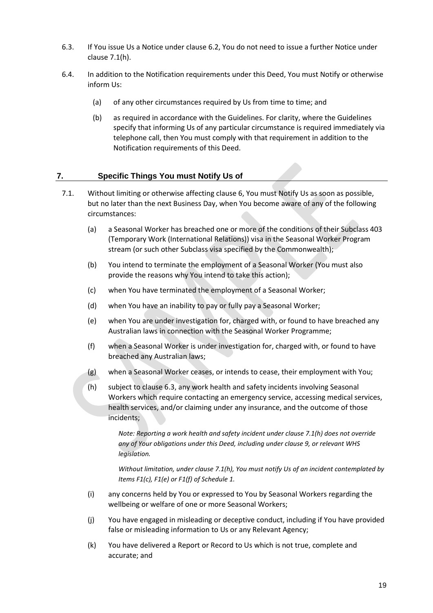- 6.3. If You issue Us a Notice under clause 6.2, You do not need to issue a further Notice under clause 7.1(h).
- 6.4. In addition to the Notification requirements under this Deed, You must Notify or otherwise inform Us:
	- (a) of any other circumstances required by Us from time to time; and
	- (b) as required in accordance with the Guidelines. For clarity, where the Guidelines specify that informing Us of any particular circumstance is required immediately via telephone call, then You must comply with that requirement in addition to the Notification requirements of this Deed.

#### <span id="page-18-0"></span>**7. Specific Things You must Notify Us of**

- 7.1. Without limiting or otherwise affecting clause 6, You must Notify Us as soon as possible, but no later than the next Business Day, when You become aware of any of the following circumstances:
	- (a) a Seasonal Worker has breached one or more of the conditions of their Subclass 403 (Temporary Work (International Relations)) visa in the Seasonal Worker Program stream (or such other Subclass visa specified by the Commonwealth);
	- (b) You intend to terminate the employment of a Seasonal Worker (You must also provide the reasons why You intend to take this action);
	- (c) when You have terminated the employment of a Seasonal Worker;
	- (d) when You have an inability to pay or fully pay a Seasonal Worker;
	- (e) when You are under investigation for, charged with, or found to have breached any Australian laws in connection with the Seasonal Worker Programme;
	- (f) when a Seasonal Worker is under investigation for, charged with, or found to have breached any Australian laws;
	- (g) when a Seasonal Worker ceases, or intends to cease, their employment with You;
	- (h) subject to clause 6.3, any work health and safety incidents involving Seasonal Workers which require contacting an emergency service, accessing medical services, health services, and/or claiming under any insurance, and the outcome of those incidents;

*Note: Reporting a work health and safety incident under clause 7.1(h) does not override any of Your obligations under this Deed, including under clause 9, or relevant WHS legislation.*

*Without limitation, under clause 7.1(h), You must notify Us of an incident contemplated by Items F1(c), F1(e) or F1(f) of Schedule 1.* 

- (i) any concerns held by You or expressed to You by Seasonal Workers regarding the wellbeing or welfare of one or more Seasonal Workers;
- (j) You have engaged in misleading or deceptive conduct, including if You have provided false or misleading information to Us or any Relevant Agency;
- (k) You have delivered a Report or Record to Us which is not true, complete and accurate; and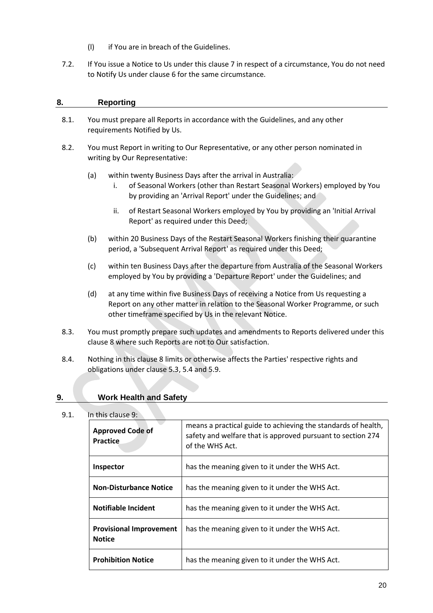- (l) if You are in breach of the Guidelines.
- 7.2. If You issue a Notice to Us under this clause 7 in respect of a circumstance, You do not need to Notify Us under clause 6 for the same circumstance.

### <span id="page-19-0"></span>**8. Reporting**

- 8.1. You must prepare all Reports in accordance with the Guidelines, and any other requirements Notified by Us.
- 8.2. You must Report in writing to Our Representative, or any other person nominated in writing by Our Representative:
	- (a) within twenty Business Days after the arrival in Australia:
		- i. of Seasonal Workers (other than Restart Seasonal Workers) employed by You by providing an 'Arrival Report' under the Guidelines; and
		- ii. of Restart Seasonal Workers employed by You by providing an 'Initial Arrival Report' as required under this Deed;
	- (b) within 20 Business Days of the Restart Seasonal Workers finishing their quarantine period, a 'Subsequent Arrival Report' as required under this Deed;
	- (c) within ten Business Days after the departure from Australia of the Seasonal Workers employed by You by providing a 'Departure Report' under the Guidelines; and
	- (d) at any time within five Business Days of receiving a Notice from Us requesting a Report on any other matter in relation to the Seasonal Worker Programme, or such other timeframe specified by Us in the relevant Notice.
- 8.3. You must promptly prepare such updates and amendments to Reports delivered under this clause 8 where such Reports are not to Our satisfaction.
- 8.4. Nothing in this clause 8 limits or otherwise affects the Parties' respective rights and obligations under clause 5.3, 5.4 and 5.9.

#### <span id="page-19-1"></span>**9. Work Health and Safety**

#### 9.1. In this clause 9:

| <b>Approved Code of</b><br><b>Practice</b>      | means a practical guide to achieving the standards of health,<br>safety and welfare that is approved pursuant to section 274<br>of the WHS Act. |
|-------------------------------------------------|-------------------------------------------------------------------------------------------------------------------------------------------------|
| Inspector                                       | has the meaning given to it under the WHS Act.                                                                                                  |
| <b>Non-Disturbance Notice</b>                   | has the meaning given to it under the WHS Act.                                                                                                  |
| Notifiable Incident                             | has the meaning given to it under the WHS Act.                                                                                                  |
| <b>Provisional Improvement</b><br><b>Notice</b> | has the meaning given to it under the WHS Act.                                                                                                  |
| <b>Prohibition Notice</b>                       | has the meaning given to it under the WHS Act.                                                                                                  |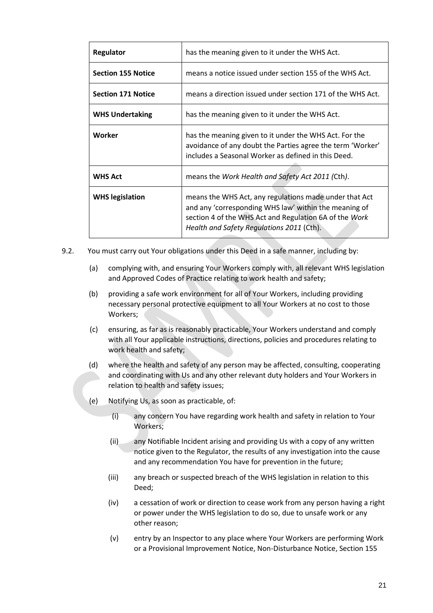| Regulator                 | has the meaning given to it under the WHS Act.                                                                                                                                                                         |
|---------------------------|------------------------------------------------------------------------------------------------------------------------------------------------------------------------------------------------------------------------|
| <b>Section 155 Notice</b> | means a notice issued under section 155 of the WHS Act.                                                                                                                                                                |
| <b>Section 171 Notice</b> | means a direction issued under section 171 of the WHS Act.                                                                                                                                                             |
| <b>WHS Undertaking</b>    | has the meaning given to it under the WHS Act.                                                                                                                                                                         |
| Worker                    | has the meaning given to it under the WHS Act. For the<br>avoidance of any doubt the Parties agree the term 'Worker'<br>includes a Seasonal Worker as defined in this Deed.                                            |
| <b>WHS Act</b>            | means the Work Health and Safety Act 2011 (Cth).                                                                                                                                                                       |
| <b>WHS legislation</b>    | means the WHS Act, any regulations made under that Act<br>and any 'corresponding WHS law' within the meaning of<br>section 4 of the WHS Act and Regulation 6A of the Work<br>Health and Safety Regulations 2011 (Cth). |

- 9.2. You must carry out Your obligations under this Deed in a safe manner, including by:
	- (a) complying with, and ensuring Your Workers comply with, all relevant WHS legislation and Approved Codes of Practice relating to work health and safety;
	- (b) providing a safe work environment for all of Your Workers, including providing necessary personal protective equipment to all Your Workers at no cost to those Workers;
	- (c) ensuring, as far as is reasonably practicable, Your Workers understand and comply with all Your applicable instructions, directions, policies and procedures relating to work health and safety;
	- (d) where the health and safety of any person may be affected, consulting, cooperating and coordinating with Us and any other relevant duty holders and Your Workers in relation to health and safety issues;
	- (e) Notifying Us, as soon as practicable, of:
		- (i) any concern You have regarding work health and safety in relation to Your Workers;
		- (ii) any Notifiable Incident arising and providing Us with a copy of any written notice given to the Regulator, the results of any investigation into the cause and any recommendation You have for prevention in the future;
		- (iii) any breach or suspected breach of the WHS legislation in relation to this Deed;
		- (iv) a cessation of work or direction to cease work from any person having a right or power under the WHS legislation to do so, due to unsafe work or any other reason;
		- (v) entry by an Inspector to any place where Your Workers are performing Work or a Provisional Improvement Notice, Non-Disturbance Notice, Section 155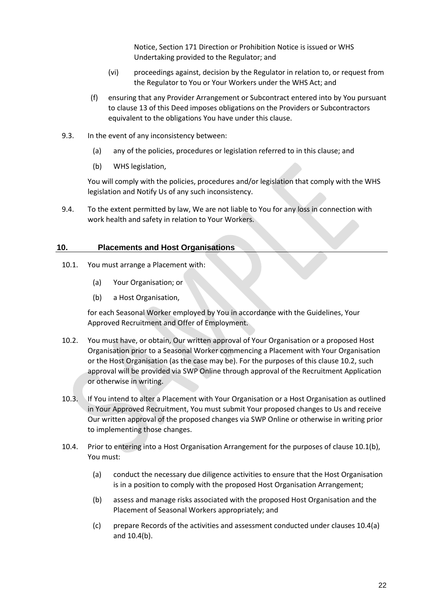Notice, Section 171 Direction or Prohibition Notice is issued or WHS Undertaking provided to the Regulator; and

- (vi) proceedings against, decision by the Regulator in relation to, or request from the Regulator to You or Your Workers under the WHS Act; and
- (f) ensuring that any Provider Arrangement or Subcontract entered into by You pursuant to clause 13 of this Deed imposes obligations on the Providers or Subcontractors equivalent to the obligations You have under this clause.
- 9.3. In the event of any inconsistency between:
	- (a) any of the policies, procedures or legislation referred to in this clause; and
	- (b) WHS legislation,

You will comply with the policies, procedures and/or legislation that comply with the WHS legislation and Notify Us of any such inconsistency.

9.4. To the extent permitted by law, We are not liable to You for any loss in connection with work health and safety in relation to Your Workers.

#### <span id="page-21-0"></span>**10. Placements and Host Organisations**

- 10.1. You must arrange a Placement with:
	- (a) Your Organisation; or
	- (b) a Host Organisation,

for each Seasonal Worker employed by You in accordance with the Guidelines, Your Approved Recruitment and Offer of Employment.

- 10.2. You must have, or obtain, Our written approval of Your Organisation or a proposed Host Organisation prior to a Seasonal Worker commencing a Placement with Your Organisation or the Host Organisation (as the case may be). For the purposes of this clause 10.2, such approval will be provided via SWP Online through approval of the Recruitment Application or otherwise in writing.
- 10.3. If You intend to alter a Placement with Your Organisation or a Host Organisation as outlined in Your Approved Recruitment, You must submit Your proposed changes to Us and receive Our written approval of the proposed changes via SWP Online or otherwise in writing prior to implementing those changes.
- 10.4. Prior to entering into a Host Organisation Arrangement for the purposes of clause 10.1(b), You must:
	- (a) conduct the necessary due diligence activities to ensure that the Host Organisation is in a position to comply with the proposed Host Organisation Arrangement;
	- (b) assess and manage risks associated with the proposed Host Organisation and the Placement of Seasonal Workers appropriately; and
	- (c) prepare Records of the activities and assessment conducted under clauses 10.4(a) and 10.4(b).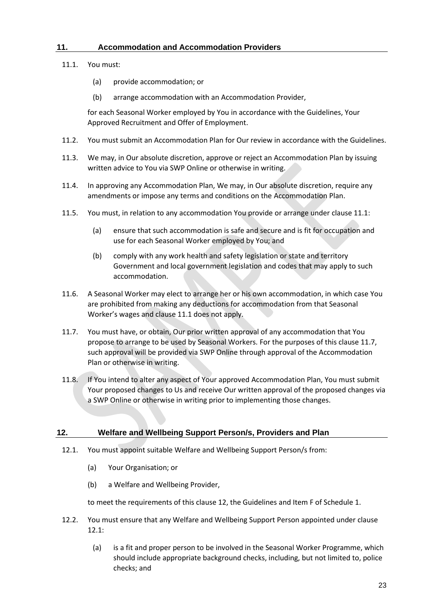## <span id="page-22-0"></span>**11. Accommodation and Accommodation Providers**

- 11.1. You must:
	- (a) provide accommodation; or
	- (b) arrange accommodation with an Accommodation Provider,

for each Seasonal Worker employed by You in accordance with the Guidelines, Your Approved Recruitment and Offer of Employment.

- 11.2. You must submit an Accommodation Plan for Our review in accordance with the Guidelines.
- 11.3. We may, in Our absolute discretion, approve or reject an Accommodation Plan by issuing written advice to You via SWP Online or otherwise in writing.
- 11.4. In approving any Accommodation Plan, We may, in Our absolute discretion, require any amendments or impose any terms and conditions on the Accommodation Plan.
- 11.5. You must, in relation to any accommodation You provide or arrange under clause 11.1:
	- (a) ensure that such accommodation is safe and secure and is fit for occupation and use for each Seasonal Worker employed by You; and
	- (b) comply with any work health and safety legislation or state and territory Government and local government legislation and codes that may apply to such accommodation.
- 11.6. A Seasonal Worker may elect to arrange her or his own accommodation, in which case You are prohibited from making any deductions for accommodation from that Seasonal Worker's wages and clause 11.1 does not apply.
- 11.7. You must have, or obtain, Our prior written approval of any accommodation that You propose to arrange to be used by Seasonal Workers. For the purposes of this clause 11.7, such approval will be provided via SWP Online through approval of the Accommodation Plan or otherwise in writing.
- 11.8. If You intend to alter any aspect of Your approved Accommodation Plan, You must submit Your proposed changes to Us and receive Our written approval of the proposed changes via a SWP Online or otherwise in writing prior to implementing those changes.

#### <span id="page-22-1"></span>**12. Welfare and Wellbeing Support Person/s, Providers and Plan**

- 12.1. You must appoint suitable Welfare and Wellbeing Support Person/s from:
	- (a) Your Organisation; or
	- (b) a Welfare and Wellbeing Provider,

to meet the requirements of this clause 12, the Guidelines and Item F of Schedule 1.

- 12.2. You must ensure that any Welfare and Wellbeing Support Person appointed under clause 12.1:
	- (a) is a fit and proper person to be involved in the Seasonal Worker Programme, which should include appropriate background checks, including, but not limited to, police checks; and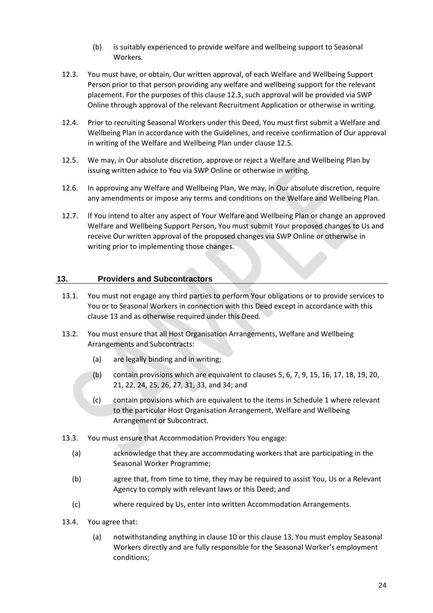- (b) is suitably experienced to provide welfare and wellbeing support to Seasonal Workers.
- 12.3. You must have, or obtain, Our written approval, of each Welfare and Wellbeing Support Person prior to that person providing any welfare and wellbeing support for the relevant placement. For the purposes of this clause 12.3, such approval will be provided via SWP Online through approval of the relevant Recruitment Application or otherwise in writing.
- 12.4. Prior to recruiting Seasonal Workers under this Deed, You must first submit a Welfare and Wellbeing Plan in accordance with the Guidelines, and receive confirmation of Our approval in writing of the Welfare and Wellbeing Plan under clause 12.5.
- 12.5. We may, in Our absolute discretion, approve or reject a Welfare and Wellbeing Plan by issuing written advice to You via SWP Online or otherwise in writing.
- 12.6. In approving any Welfare and Wellbeing Plan, We may, in Our absolute discretion, require any amendments or impose any terms and conditions on the Welfare and Wellbeing Plan.
- 12.7. If You intend to alter any aspect of Your Welfare and Wellbeing Plan or change an approved Welfare and Wellbeing Support Person, You must submit Your proposed changes to Us and receive Our written approval of the proposed changes via SWP Online or otherwise in writing prior to implementing those changes.

## <span id="page-23-0"></span>**13. Providers and Subcontractors**

- 13.1. You must not engage any third parties to perform Your obligations or to provide services to You or to Seasonal Workers in connection with this Deed except in accordance with this clause 13 and as otherwise required under this Deed.
- 13.2. You must ensure that all Host Organisation Arrangements, Welfare and Wellbeing Arrangements and Subcontracts:
	- (a) are legally binding and in writing;
	- (b) contain provisions which are equivalent to clauses 5, 6, 7, 9, 15, 16, 17, 18, 19, 20, 21, 22, 24, 25, 26, 27, 31, 33, and 34; and
	- (c) contain provisions which are equivalent to the items in Schedule 1 where relevant to the particular Host Organisation Arrangement, Welfare and Wellbeing Arrangement or Subcontract.
- 13.3. You must ensure that Accommodation Providers You engage:
	- (a) acknowledge that they are accommodating workers that are participating in the Seasonal Worker Programme;
	- (b) agree that, from time to time, they may be required to assist You, Us or a Relevant Agency to comply with relevant laws or this Deed; and
	- (c) where required by Us, enter into written Accommodation Arrangements.
- 13.4. You agree that:
	- (a) notwithstanding anything in clause 10 or this clause 13, You must employ Seasonal Workers directly and are fully responsible for the Seasonal Worker's employment conditions;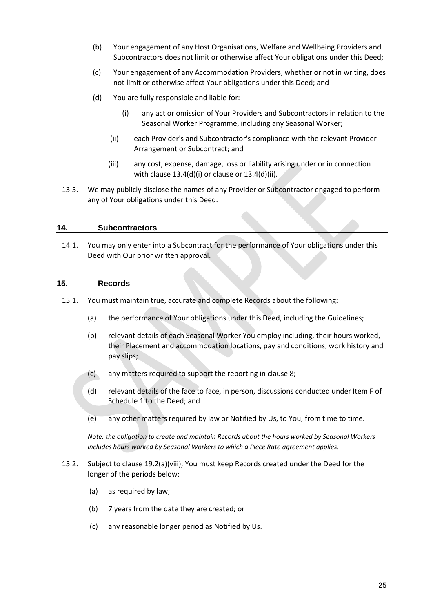- (b) Your engagement of any Host Organisations, Welfare and Wellbeing Providers and Subcontractors does not limit or otherwise affect Your obligations under this Deed;
- (c) Your engagement of any Accommodation Providers, whether or not in writing, does not limit or otherwise affect Your obligations under this Deed; and
- (d) You are fully responsible and liable for:
	- (i) any act or omission of Your Providers and Subcontractors in relation to the Seasonal Worker Programme, including any Seasonal Worker;
	- (ii) each Provider's and Subcontractor's compliance with the relevant Provider Arrangement or Subcontract; and
	- (iii) any cost, expense, damage, loss or liability arising under or in connection with clause 13.4(d)(i) or clause or 13.4(d)(ii).
- 13.5. We may publicly disclose the names of any Provider or Subcontractor engaged to perform any of Your obligations under this Deed.

#### <span id="page-24-0"></span>**14. Subcontractors**

14.1. You may only enter into a Subcontract for the performance of Your obligations under this Deed with Our prior written approval.

#### <span id="page-24-1"></span>**15. Records**

- 15.1. You must maintain true, accurate and complete Records about the following:
	- (a) the performance of Your obligations under this Deed, including the Guidelines;
	- (b) relevant details of each Seasonal Worker You employ including, their hours worked, their Placement and accommodation locations, pay and conditions, work history and pay slips;
	- (c) any matters required to support the reporting in clause 8;
	- (d) relevant details of the face to face, in person, discussions conducted under Item F of Schedule 1 to the Deed; and
	- (e) any other matters required by law or Notified by Us, to You, from time to time.

*Note: the obligation to create and maintain Records about the hours worked by Seasonal Workers includes hours worked by Seasonal Workers to which a Piece Rate agreement applies.* 

- 15.2. Subject to clause 19.2(a)(viii), You must keep Records created under the Deed for the longer of the periods below:
	- (a) as required by law;
	- (b) 7 years from the date they are created; or
	- (c) any reasonable longer period as Notified by Us.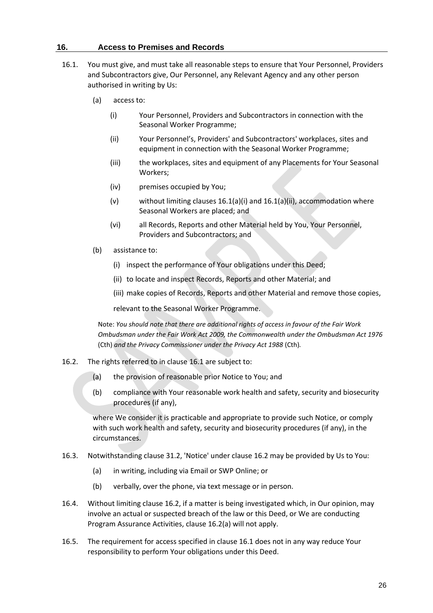#### <span id="page-25-0"></span>**16. Access to Premises and Records**

- 16.1. You must give, and must take all reasonable steps to ensure that Your Personnel, Providers and Subcontractors give, Our Personnel, any Relevant Agency and any other person authorised in writing by Us:
	- (a) access to:
		- (i) Your Personnel, Providers and Subcontractors in connection with the Seasonal Worker Programme;
		- (ii) Your Personnel's, Providers' and Subcontractors' workplaces, sites and equipment in connection with the Seasonal Worker Programme;
		- (iii) the workplaces, sites and equipment of any Placements for Your Seasonal Workers;
		- (iv) premises occupied by You;
		- (v) without limiting clauses  $16.1(a)$ (i) and  $16.1(a)$ (ii), accommodation where Seasonal Workers are placed; and
		- (vi) all Records, Reports and other Material held by You, Your Personnel, Providers and Subcontractors; and
	- (b) assistance to:
		- (i) inspect the performance of Your obligations under this Deed;
		- (ii) to locate and inspect Records, Reports and other Material; and
		- (iii) make copies of Records, Reports and other Material and remove those copies,

relevant to the Seasonal Worker Programme.

Note: *You should note that there are additional rights of access in favour of the Fair Work Ombudsman under the Fair Work Act 2009, the Commonwealth under the Ombudsman Act 1976*  (Cth) *and the Privacy Commissioner under the Privacy Act 1988* (Cth)*.*

- 16.2. The rights referred to in clause 16.1 are subject to:
	- (a) the provision of reasonable prior Notice to You; and
	- (b) compliance with Your reasonable work health and safety, security and biosecurity procedures (if any),

where We consider it is practicable and appropriate to provide such Notice, or comply with such work health and safety, security and biosecurity procedures (if any), in the circumstances.

- 16.3. Notwithstanding clause 31.2, 'Notice' under clause 16.2 may be provided by Us to You:
	- (a) in writing, including via Email or SWP Online; or
	- (b) verbally, over the phone, via text message or in person.
- 16.4. Without limiting clause 16.2, if a matter is being investigated which, in Our opinion, may involve an actual or suspected breach of the law or this Deed, or We are conducting Program Assurance Activities, clause 16.2(a) will not apply.
- 16.5. The requirement for access specified in clause 16.1 does not in any way reduce Your responsibility to perform Your obligations under this Deed.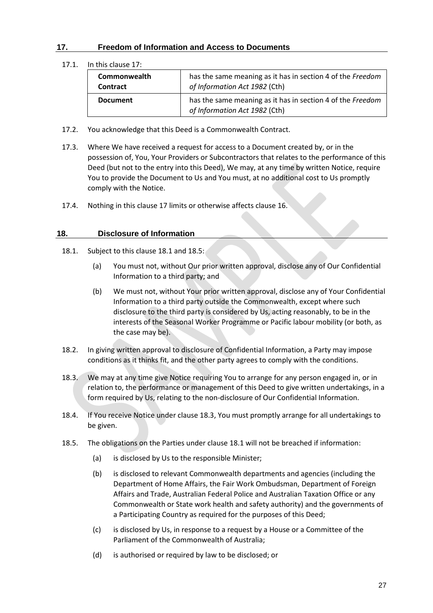## <span id="page-26-0"></span>**17. Freedom of Information and Access to Documents**

17.1. In this clause 17:

| Commonwealth<br><b>Contract</b> | has the same meaning as it has in section 4 of the Freedom<br>of Information Act 1982 (Cth) |
|---------------------------------|---------------------------------------------------------------------------------------------|
| <b>Document</b>                 | has the same meaning as it has in section 4 of the Freedom<br>of Information Act 1982 (Cth) |

- 17.2. You acknowledge that this Deed is a Commonwealth Contract.
- 17.3. Where We have received a request for access to a Document created by, or in the possession of, You, Your Providers or Subcontractors that relates to the performance of this Deed (but not to the entry into this Deed), We may, at any time by written Notice, require You to provide the Document to Us and You must, at no additional cost to Us promptly comply with the Notice.
- 17.4. Nothing in this clause 17 limits or otherwise affects clause 16.

#### <span id="page-26-1"></span>**18. Disclosure of Information**

- 18.1. Subject to this clause 18.1 and 18.5:
	- (a) You must not, without Our prior written approval, disclose any of Our Confidential Information to a third party; and
	- (b) We must not, without Your prior written approval, disclose any of Your Confidential Information to a third party outside the Commonwealth, except where such disclosure to the third party is considered by Us, acting reasonably, to be in the interests of the Seasonal Worker Programme or Pacific labour mobility (or both, as the case may be).
- 18.2. In giving written approval to disclosure of Confidential Information, a Party may impose conditions as it thinks fit, and the other party agrees to comply with the conditions.
- 18.3. We may at any time give Notice requiring You to arrange for any person engaged in, or in relation to, the performance or management of this Deed to give written undertakings, in a form required by Us, relating to the non-disclosure of Our Confidential Information.
- 18.4. If You receive Notice under clause 18.3, You must promptly arrange for all undertakings to be given.
- 18.5. The obligations on the Parties under clause 18.1 will not be breached if information:
	- (a) is disclosed by Us to the responsible Minister:
	- (b) is disclosed to relevant Commonwealth departments and agencies (including the Department of Home Affairs, the Fair Work Ombudsman, Department of Foreign Affairs and Trade, Australian Federal Police and Australian Taxation Office or any Commonwealth or State work health and safety authority) and the governments of a Participating Country as required for the purposes of this Deed;
	- (c) is disclosed by Us, in response to a request by a House or a Committee of the Parliament of the Commonwealth of Australia;
	- (d) is authorised or required by law to be disclosed; or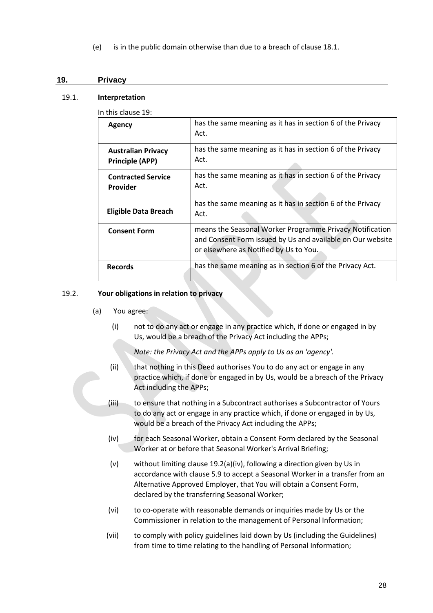(e) is in the public domain otherwise than due to a breach of clause 18.1.

#### <span id="page-27-0"></span>**19. Privacy**

#### 19.1. **Interpretation**

In this clause 19:

| Agency                                              | has the same meaning as it has in section 6 of the Privacy<br>Act.                                                                                               |
|-----------------------------------------------------|------------------------------------------------------------------------------------------------------------------------------------------------------------------|
| <b>Australian Privacy</b><br><b>Principle (APP)</b> | has the same meaning as it has in section 6 of the Privacy<br>Act.                                                                                               |
| <b>Contracted Service</b><br>Provider               | has the same meaning as it has in section 6 of the Privacy<br>Act.                                                                                               |
| <b>Eligible Data Breach</b>                         | has the same meaning as it has in section 6 of the Privacy<br>Act.                                                                                               |
| <b>Consent Form</b>                                 | means the Seasonal Worker Programme Privacy Notification<br>and Consent Form issued by Us and available on Our website<br>or elsewhere as Notified by Us to You. |
| <b>Records</b>                                      | has the same meaning as in section 6 of the Privacy Act.                                                                                                         |

#### 19.2. **Your obligations in relation to privacy**

- (a) You agree:
	- (i) not to do any act or engage in any practice which, if done or engaged in by Us, would be a breach of the Privacy Act including the APPs;

*Note: the Privacy Act and the APPs apply to Us as an 'agency'.*

- (ii) that nothing in this Deed authorises You to do any act or engage in any practice which, if done or engaged in by Us, would be a breach of the Privacy Act including the APPs;
- (iii) to ensure that nothing in a Subcontract authorises a Subcontractor of Yours to do any act or engage in any practice which, if done or engaged in by Us, would be a breach of the Privacy Act including the APPs;
- (iv) for each Seasonal Worker, obtain a Consent Form declared by the Seasonal Worker at or before that Seasonal Worker's Arrival Briefing;
- (v) without limiting clause 19.2(a)(iv), following a direction given by Us in accordance with clause 5.9 to accept a Seasonal Worker in a transfer from an Alternative Approved Employer, that You will obtain a Consent Form, declared by the transferring Seasonal Worker;
- (vi) to co-operate with reasonable demands or inquiries made by Us or the Commissioner in relation to the management of Personal Information;
- (vii) to comply with policy guidelines laid down by Us (including the Guidelines) from time to time relating to the handling of Personal Information;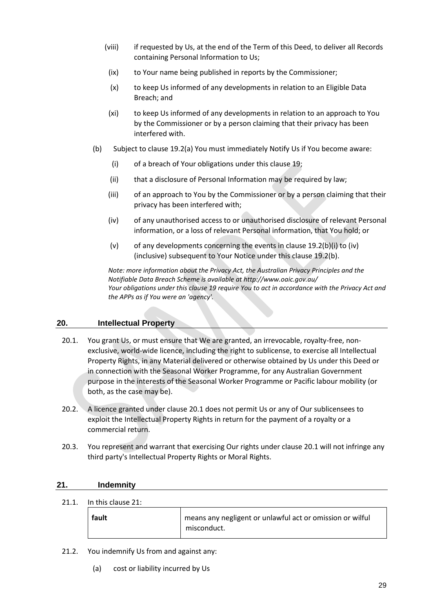- (viii) if requested by Us, at the end of the Term of this Deed, to deliver all Records containing Personal Information to Us;
- (ix) to Your name being published in reports by the Commissioner;
- (x) to keep Us informed of any developments in relation to an Eligible Data Breach; and
- (xi) to keep Us informed of any developments in relation to an approach to You by the Commissioner or by a person claiming that their privacy has been interfered with.
- (b) Subject to clause 19.2(a) You must immediately Notify Us if You become aware:
	- (i) of a breach of Your obligations under this clause 19;
	- (ii) that a disclosure of Personal Information may be required by law;
	- (iii) of an approach to You by the Commissioner or by a person claiming that their privacy has been interfered with;
	- (iv) of any unauthorised access to or unauthorised disclosure of relevant Personal information, or a loss of relevant Personal information, that You hold; or
	- (v) of any developments concerning the events in clause 19.2(b)(i) to (iv) (inclusive) subsequent to Your Notice under this clause 19.2(b).

*Note: more information about the Privacy Act, the Australian Privacy Principles and the Notifiable Data Breach Scheme is available at http://www.oaic.gov.au/ Your obligations under this clause 19 require You to act in accordance with the Privacy Act and the APPs as if You were an 'agency'.*

#### <span id="page-28-0"></span>**20. Intellectual Property**

- 20.1. You grant Us, or must ensure that We are granted, an irrevocable, royalty-free, nonexclusive, world-wide licence, including the right to sublicense, to exercise all Intellectual Property Rights, in any Material delivered or otherwise obtained by Us under this Deed or in connection with the Seasonal Worker Programme, for any Australian Government purpose in the interests of the Seasonal Worker Programme or Pacific labour mobility (or both, as the case may be).
- 20.2. A licence granted under clause 20.1 does not permit Us or any of Our sublicensees to exploit the Intellectual Property Rights in return for the payment of a royalty or a commercial return.
- 20.3. You represent and warrant that exercising Our rights under clause 20.1 will not infringe any third party's Intellectual Property Rights or Moral Rights.

#### <span id="page-28-1"></span>**21. Indemnity**

21.1. In this clause 21:

| fault | means any negligent or unlawful act or omission or wilful |
|-------|-----------------------------------------------------------|
|       | misconduct.                                               |

- 21.2. You indemnify Us from and against any:
	- (a) cost or liability incurred by Us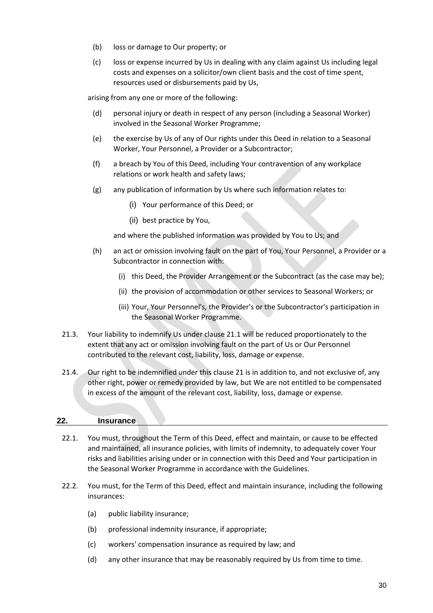- (b) loss or damage to Our property; or
- (c) loss or expense incurred by Us in dealing with any claim against Us including legal costs and expenses on a solicitor/own client basis and the cost of time spent, resources used or disbursements paid by Us,

arising from any one or more of the following:

- (d) personal injury or death in respect of any person (including a Seasonal Worker) involved in the Seasonal Worker Programme;
- (e) the exercise by Us of any of Our rights under this Deed in relation to a Seasonal Worker, Your Personnel, a Provider or a Subcontractor;
- (f) a breach by You of this Deed, including Your contravention of any workplace relations or work health and safety laws;
- (g) any publication of information by Us where such information relates to:
	- (i) Your performance of this Deed; or
	- (ii) best practice by You,

and where the published information was provided by You to Us; and

- (h) an act or omission involving fault on the part of You, Your Personnel, a Provider or a Subcontractor in connection with:
	- (i) this Deed, the Provider Arrangement or the Subcontract (as the case may be);
	- (ii) the provision of accommodation or other services to Seasonal Workers; or
	- (iii) Your, Your Personnel's, the Provider's or the Subcontractor's participation in the Seasonal Worker Programme.
- 21.3. Your liability to indemnify Us under clause 21.1 will be reduced proportionately to the extent that any act or omission involving fault on the part of Us or Our Personnel contributed to the relevant cost, liability, loss, damage or expense.
- 21.4. Our right to be indemnified under this clause 21 is in addition to, and not exclusive of, any other right, power or remedy provided by law, but We are not entitled to be compensated in excess of the amount of the relevant cost, liability, loss, damage or expense.

#### <span id="page-29-0"></span>**22. Insurance**

- 22.1. You must, throughout the Term of this Deed, effect and maintain, or cause to be effected and maintained, all insurance policies, with limits of indemnity, to adequately cover Your risks and liabilities arising under or in connection with this Deed and Your participation in the Seasonal Worker Programme in accordance with the Guidelines.
- 22.2. You must, for the Term of this Deed, effect and maintain insurance, including the following insurances:
	- (a) public liability insurance;
	- (b) professional indemnity insurance, if appropriate;
	- (c) workers' compensation insurance as required by law; and
	- (d) any other insurance that may be reasonably required by Us from time to time.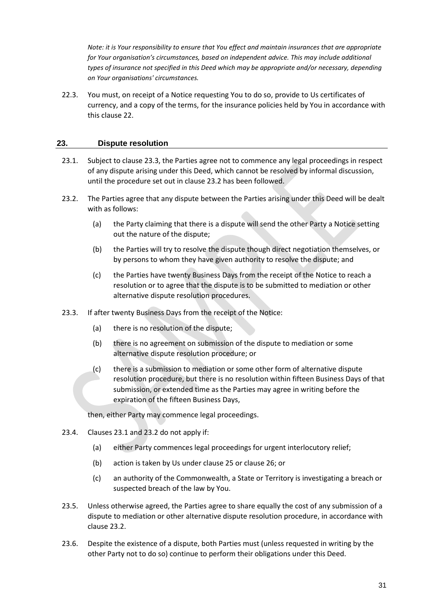*Note: it is Your responsibility to ensure that You effect and maintain insurances that are appropriate for Your organisation's circumstances, based on independent advice. This may include additional types of insurance not specified in this Deed which may be appropriate and/or necessary, depending on Your organisations' circumstances.*

22.3. You must, on receipt of a Notice requesting You to do so, provide to Us certificates of currency, and a copy of the terms, for the insurance policies held by You in accordance with this clause 22.

#### <span id="page-30-0"></span>**23. Dispute resolution**

- 23.1. Subject to clause 23.3, the Parties agree not to commence any legal proceedings in respect of any dispute arising under this Deed, which cannot be resolved by informal discussion, until the procedure set out in clause 23.2 has been followed.
- 23.2. The Parties agree that any dispute between the Parties arising under this Deed will be dealt with as follows:
	- (a) the Party claiming that there is a dispute will send the other Party a Notice setting out the nature of the dispute;
	- (b) the Parties will try to resolve the dispute though direct negotiation themselves, or by persons to whom they have given authority to resolve the dispute; and
	- (c) the Parties have twenty Business Days from the receipt of the Notice to reach a resolution or to agree that the dispute is to be submitted to mediation or other alternative dispute resolution procedures.
- 23.3. If after twenty Business Days from the receipt of the Notice:
	- (a) there is no resolution of the dispute;
	- (b) there is no agreement on submission of the dispute to mediation or some alternative dispute resolution procedure; or
	- (c) there is a submission to mediation or some other form of alternative dispute resolution procedure, but there is no resolution within fifteen Business Days of that submission, or extended time as the Parties may agree in writing before the expiration of the fifteen Business Days,

then, either Party may commence legal proceedings.

- 23.4. Clauses 23.1 and 23.2 do not apply if:
	- (a) either Party commences legal proceedings for urgent interlocutory relief;
	- (b) action is taken by Us under clause 25 or clause 26; or
	- (c) an authority of the Commonwealth, a State or Territory is investigating a breach or suspected breach of the law by You.
- 23.5. Unless otherwise agreed, the Parties agree to share equally the cost of any submission of a dispute to mediation or other alternative dispute resolution procedure, in accordance with clause 23.2.
- 23.6. Despite the existence of a dispute, both Parties must (unless requested in writing by the other Party not to do so) continue to perform their obligations under this Deed.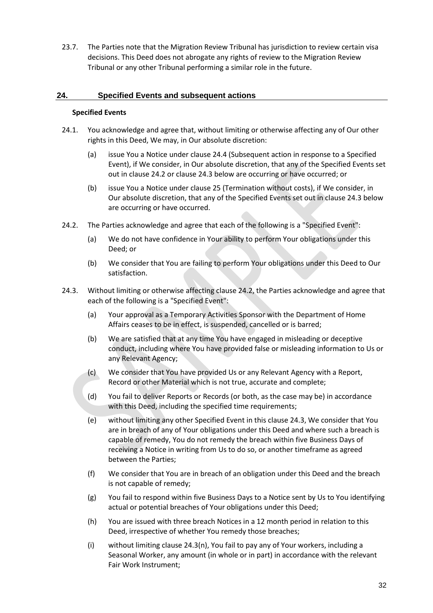23.7. The Parties note that the Migration Review Tribunal has jurisdiction to review certain visa decisions. This Deed does not abrogate any rights of review to the Migration Review Tribunal or any other Tribunal performing a similar role in the future.

#### <span id="page-31-0"></span>**24. Specified Events and subsequent actions**

#### **Specified Events**

- 24.1. You acknowledge and agree that, without limiting or otherwise affecting any of Our other rights in this Deed, We may, in Our absolute discretion:
	- (a) issue You a Notice under clause 24.4 (Subsequent action in response to a Specified Event), if We consider, in Our absolute discretion, that any of the Specified Events set out in clause 24.2 or clause 24.3 below are occurring or have occurred; or
	- (b) issue You a Notice under clause 25 (Termination without costs), if We consider, in Our absolute discretion, that any of the Specified Events set out in clause 24.3 below are occurring or have occurred.
- 24.2. The Parties acknowledge and agree that each of the following is a "Specified Event":
	- (a) We do not have confidence in Your ability to perform Your obligations under this Deed; or
	- (b) We consider that You are failing to perform Your obligations under this Deed to Our satisfaction.
- 24.3. Without limiting or otherwise affecting clause 24.2, the Parties acknowledge and agree that each of the following is a "Specified Event":
	- (a) Your approval as a Temporary Activities Sponsor with the Department of Home Affairs ceases to be in effect, is suspended, cancelled or is barred;
	- (b) We are satisfied that at any time You have engaged in misleading or deceptive conduct, including where You have provided false or misleading information to Us or any Relevant Agency;
	- (c) We consider that You have provided Us or any Relevant Agency with a Report, Record or other Material which is not true, accurate and complete;
	- (d) You fail to deliver Reports or Records (or both, as the case may be) in accordance with this Deed, including the specified time requirements;
	- (e) without limiting any other Specified Event in this clause 24.3, We consider that You are in breach of any of Your obligations under this Deed and where such a breach is capable of remedy, You do not remedy the breach within five Business Days of receiving a Notice in writing from Us to do so, or another timeframe as agreed between the Parties;
	- (f) We consider that You are in breach of an obligation under this Deed and the breach is not capable of remedy;
	- (g) You fail to respond within five Business Days to a Notice sent by Us to You identifying actual or potential breaches of Your obligations under this Deed;
	- (h) You are issued with three breach Notices in a 12 month period in relation to this Deed, irrespective of whether You remedy those breaches;
	- (i) without limiting clause 24.3(n), You fail to pay any of Your workers, including a Seasonal Worker, any amount (in whole or in part) in accordance with the relevant Fair Work Instrument;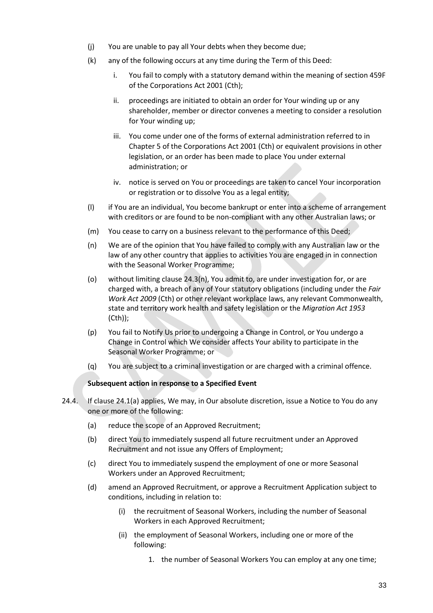- (j) You are unable to pay all Your debts when they become due;
- (k) any of the following occurs at any time during the Term of this Deed:
	- i. You fail to comply with a statutory demand within the meaning of section 459F of the Corporations Act 2001 (Cth);
	- ii. proceedings are initiated to obtain an order for Your winding up or any shareholder, member or director convenes a meeting to consider a resolution for Your winding up;
	- iii. You come under one of the forms of external administration referred to in Chapter 5 of the Corporations Act 2001 (Cth) or equivalent provisions in other legislation, or an order has been made to place You under external administration; or
	- iv. notice is served on You or proceedings are taken to cancel Your incorporation or registration or to dissolve You as a legal entity;
- (l) if You are an individual, You become bankrupt or enter into a scheme of arrangement with creditors or are found to be non-compliant with any other Australian laws; or
- (m) You cease to carry on a business relevant to the performance of this Deed;
- (n) We are of the opinion that You have failed to comply with any Australian law or the law of any other country that applies to activities You are engaged in in connection with the Seasonal Worker Programme;
- (o) without limiting clause 24.3(n), You admit to, are under investigation for, or are charged with, a breach of any of Your statutory obligations (including under the *Fair Work Act 2009* (Cth) or other relevant workplace laws, any relevant Commonwealth, state and territory work health and safety legislation or the *Migration Act 1953* (Cth));
- (p) You fail to Notify Us prior to undergoing a Change in Control, or You undergo a Change in Control which We consider affects Your ability to participate in the Seasonal Worker Programme; or
- (q) You are subject to a criminal investigation or are charged with a criminal offence.

#### **Subsequent action in response to a Specified Event**

- 24.4. If clause 24.1(a) applies, We may, in Our absolute discretion, issue a Notice to You do any one or more of the following:
	- (a) reduce the scope of an Approved Recruitment;
	- (b) direct You to immediately suspend all future recruitment under an Approved Recruitment and not issue any Offers of Employment;
	- (c) direct You to immediately suspend the employment of one or more Seasonal Workers under an Approved Recruitment;
	- (d) amend an Approved Recruitment, or approve a Recruitment Application subject to conditions, including in relation to:
		- (i) the recruitment of Seasonal Workers, including the number of Seasonal Workers in each Approved Recruitment;
		- (ii) the employment of Seasonal Workers, including one or more of the following:
			- 1. the number of Seasonal Workers You can employ at any one time;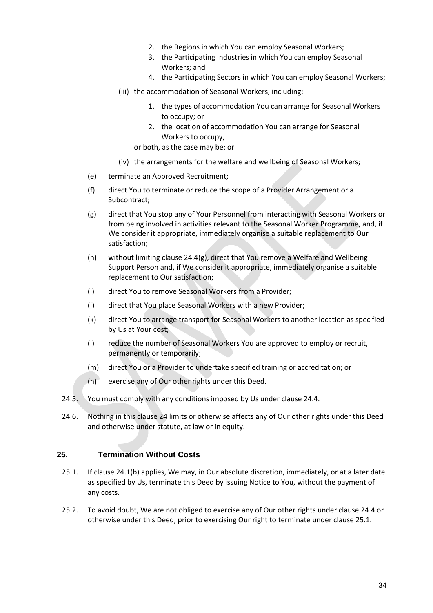- 2. the Regions in which You can employ Seasonal Workers;
- 3. the Participating Industries in which You can employ Seasonal Workers; and
- 4. the Participating Sectors in which You can employ Seasonal Workers;
- (iii) the accommodation of Seasonal Workers, including:
	- 1. the types of accommodation You can arrange for Seasonal Workers to occupy; or
	- 2. the location of accommodation You can arrange for Seasonal Workers to occupy,
	- or both, as the case may be; or
- (iv) the arrangements for the welfare and wellbeing of Seasonal Workers;
- (e) terminate an Approved Recruitment;
- (f) direct You to terminate or reduce the scope of a Provider Arrangement or a Subcontract;
- (g) direct that You stop any of Your Personnel from interacting with Seasonal Workers or from being involved in activities relevant to the Seasonal Worker Programme, and, if We consider it appropriate, immediately organise a suitable replacement to Our satisfaction;
- (h) without limiting clause 24.4(g), direct that You remove a Welfare and Wellbeing Support Person and, if We consider it appropriate, immediately organise a suitable replacement to Our satisfaction;
- (i) direct You to remove Seasonal Workers from a Provider;
- (j) direct that You place Seasonal Workers with a new Provider;
- (k) direct You to arrange transport for Seasonal Workers to another location as specified by Us at Your cost;
- (l) reduce the number of Seasonal Workers You are approved to employ or recruit, permanently or temporarily;
- (m) direct You or a Provider to undertake specified training or accreditation; or
- (n) exercise any of Our other rights under this Deed.
- 24.5. You must comply with any conditions imposed by Us under clause 24.4.
- 24.6. Nothing in this clause 24 limits or otherwise affects any of Our other rights under this Deed and otherwise under statute, at law or in equity.

#### <span id="page-33-0"></span>**25. Termination Without Costs**

- 25.1. If clause 24.1(b) applies, We may, in Our absolute discretion, immediately, or at a later date as specified by Us, terminate this Deed by issuing Notice to You, without the payment of any costs.
- 25.2. To avoid doubt, We are not obliged to exercise any of Our other rights under clause 24.4 or otherwise under this Deed, prior to exercising Our right to terminate under clause 25.1.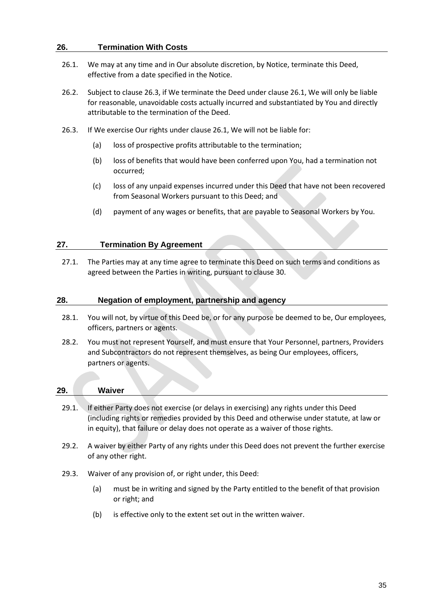#### <span id="page-34-0"></span>**26. Termination With Costs**

- 26.1. We may at any time and in Our absolute discretion, by Notice, terminate this Deed, effective from a date specified in the Notice.
- 26.2. Subject to clause 26.3, if We terminate the Deed under clause 26.1, We will only be liable for reasonable, unavoidable costs actually incurred and substantiated by You and directly attributable to the termination of the Deed.
- 26.3. If We exercise Our rights under clause 26.1, We will not be liable for:
	- (a) loss of prospective profits attributable to the termination;
	- (b) loss of benefits that would have been conferred upon You, had a termination not occurred;
	- (c) loss of any unpaid expenses incurred under this Deed that have not been recovered from Seasonal Workers pursuant to this Deed; and
	- (d) payment of any wages or benefits, that are payable to Seasonal Workers by You.

#### <span id="page-34-1"></span>**27. Termination By Agreement**

27.1. The Parties may at any time agree to terminate this Deed on such terms and conditions as agreed between the Parties in writing, pursuant to clause 30.

#### <span id="page-34-2"></span>**28. Negation of employment, partnership and agency**

- 28.1. You will not, by virtue of this Deed be, or for any purpose be deemed to be, Our employees, officers, partners or agents.
- 28.2. You must not represent Yourself, and must ensure that Your Personnel, partners, Providers and Subcontractors do not represent themselves, as being Our employees, officers, partners or agents.

<span id="page-34-3"></span>

| 29.   | Waiver |                                                                                                                                                                                                                                                                         |
|-------|--------|-------------------------------------------------------------------------------------------------------------------------------------------------------------------------------------------------------------------------------------------------------------------------|
| 29.1. |        | If either Party does not exercise (or delays in exercising) any rights under this Deed<br>(including rights or remedies provided by this Deed and otherwise under statute, at law or<br>in equity), that failure or delay does not operate as a waiver of those rights. |
| 29.2. |        | A waiver by either Party of any rights under this Deed does not prevent the further exercise                                                                                                                                                                            |

- of any other right.
- 29.3. Waiver of any provision of, or right under, this Deed:
	- (a) must be in writing and signed by the Party entitled to the benefit of that provision or right; and
	- (b) is effective only to the extent set out in the written waiver.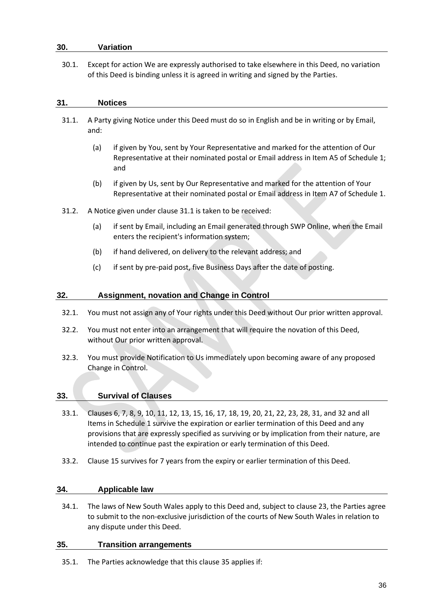#### <span id="page-35-0"></span>**30. Variation**

30.1. Except for action We are expressly authorised to take elsewhere in this Deed, no variation of this Deed is binding unless it is agreed in writing and signed by the Parties.

#### <span id="page-35-1"></span>**31. Notices**

- 31.1. A Party giving Notice under this Deed must do so in English and be in writing or by Email, and:
	- (a) if given by You, sent by Your Representative and marked for the attention of Our Representative at their nominated postal or Email address in Item A5 of Schedule 1; and
	- (b) if given by Us, sent by Our Representative and marked for the attention of Your Representative at their nominated postal or Email address in Item A7 of Schedule 1.
- 31.2. A Notice given under clause 31.1 is taken to be received:
	- (a) if sent by Email, including an Email generated through SWP Online, when the Email enters the recipient's information system;
	- (b) if hand delivered, on delivery to the relevant address; and
	- (c) if sent by pre-paid post, five Business Days after the date of posting.

#### <span id="page-35-2"></span>**32. Assignment, novation and Change in Control**

- 32.1. You must not assign any of Your rights under this Deed without Our prior written approval.
- 32.2. You must not enter into an arrangement that will require the novation of this Deed, without Our prior written approval.
- 32.3. You must provide Notification to Us immediately upon becoming aware of any proposed Change in Control.

#### <span id="page-35-3"></span>**33. Survival of Clauses**

- 33.1. Clauses 6, 7, 8, 9, 10, 11, 12, 13, 15, 16, 17, 18, 19, 20, 21, 22, 23, 28, 31, and 32 and all Items in Schedule 1 survive the expiration or earlier termination of this Deed and any provisions that are expressly specified as surviving or by implication from their nature, are intended to continue past the expiration or early termination of this Deed.
- 33.2. Clause 15 survives for 7 years from the expiry or earlier termination of this Deed.

#### <span id="page-35-4"></span>**34. Applicable law**

34.1. The laws of New South Wales apply to this Deed and, subject to clause 23, the Parties agree to submit to the non-exclusive jurisdiction of the courts of New South Wales in relation to any dispute under this Deed.

#### <span id="page-35-5"></span>**35. Transition arrangements**

35.1. The Parties acknowledge that this clause 35 applies if: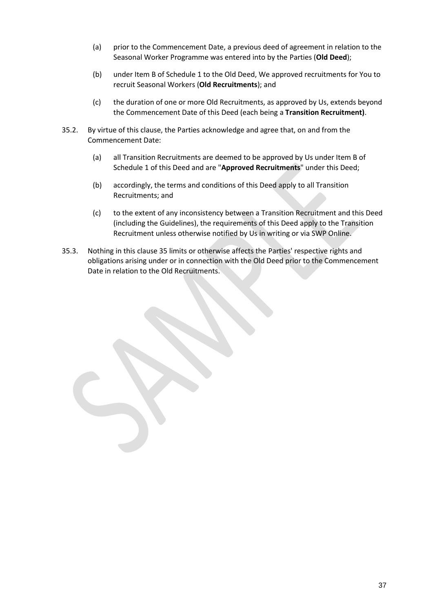- (a) prior to the Commencement Date, a previous deed of agreement in relation to the Seasonal Worker Programme was entered into by the Parties (**Old Deed**);
- (b) under Item B of Schedule 1 to the Old Deed, We approved recruitments for You to recruit Seasonal Workers (**Old Recruitments**); and
- (c) the duration of one or more Old Recruitments, as approved by Us, extends beyond the Commencement Date of this Deed (each being a **Transition Recruitment)**.
- 35.2. By virtue of this clause, the Parties acknowledge and agree that, on and from the Commencement Date:
	- (a) all Transition Recruitments are deemed to be approved by Us under Item B of Schedule 1 of this Deed and are "**Approved Recruitments**" under this Deed;
	- (b) accordingly, the terms and conditions of this Deed apply to all Transition Recruitments; and
	- (c) to the extent of any inconsistency between a Transition Recruitment and this Deed (including the Guidelines), the requirements of this Deed apply to the Transition Recruitment unless otherwise notified by Us in writing or via SWP Online.
- 35.3. Nothing in this clause 35 limits or otherwise affects the Parties' respective rights and obligations arising under or in connection with the Old Deed prior to the Commencement Date in relation to the Old Recruitments.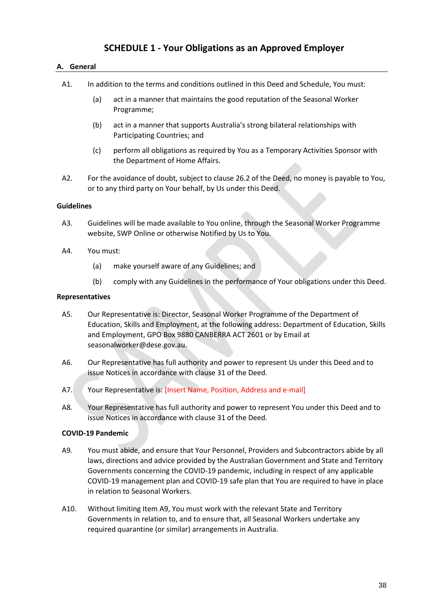## **SCHEDULE 1 - Your Obligations as an Approved Employer**

#### <span id="page-37-1"></span><span id="page-37-0"></span>**A. General**

- A1. In addition to the terms and conditions outlined in this Deed and Schedule, You must:
	- (a) act in a manner that maintains the good reputation of the Seasonal Worker Programme;
	- (b) act in a manner that supports Australia's strong bilateral relationships with Participating Countries; and
	- (c) perform all obligations as required by You as a Temporary Activities Sponsor with the Department of Home Affairs.
- A2. For the avoidance of doubt, subject to clause 26.2 of the Deed, no money is payable to You, or to any third party on Your behalf, by Us under this Deed.

#### **Guidelines**

- A3. Guidelines will be made available to You online, through the Seasonal Worker Programme website, SWP Online or otherwise Notified by Us to You.
- A4. You must:
	- (a) make yourself aware of any Guidelines; and
	- (b) comply with any Guidelines in the performance of Your obligations under this Deed.

#### **Representatives**

- A5. Our Representative is: Director, Seasonal Worker Programme of the Department of Education, Skills and Employment, at the following address: Department of Education, Skills and Employment, GPO Box 9880 CANBERRA ACT 2601 or by Email at seasonalworker@dese.gov.au.
- A6. Our Representative has full authority and power to represent Us under this Deed and to issue Notices in accordance with clause 31 of the Deed.
- A7. Your Representative is: [Insert Name, Position, Address and e-mail]
- A8. Your Representative has full authority and power to represent You under this Deed and to issue Notices in accordance with clause 31 of the Deed.

#### **COVID-19 Pandemic**

- A9. You must abide, and ensure that Your Personnel, Providers and Subcontractors abide by all laws, directions and advice provided by the Australian Government and State and Territory Governments concerning the COVID-19 pandemic, including in respect of any applicable COVID-19 management plan and COVID-19 safe plan that You are required to have in place in relation to Seasonal Workers.
- A10. Without limiting Item A9, You must work with the relevant State and Territory Governments in relation to, and to ensure that, all Seasonal Workers undertake any required quarantine (or similar) arrangements in Australia.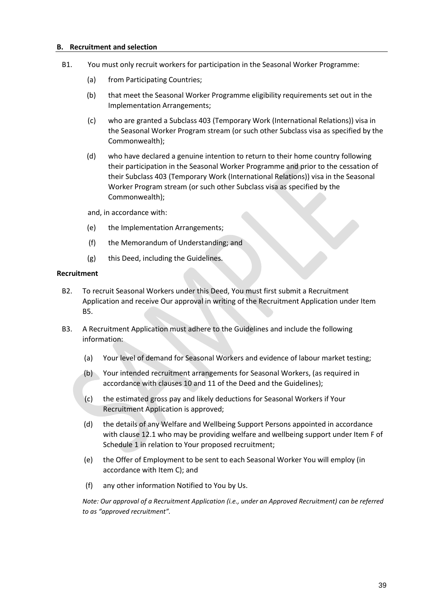#### <span id="page-38-0"></span>**B. Recruitment and selection**

- B1. You must only recruit workers for participation in the Seasonal Worker Programme:
	- (a) from Participating Countries;
	- (b) that meet the Seasonal Worker Programme eligibility requirements set out in the Implementation Arrangements;
	- (c) who are granted a Subclass 403 (Temporary Work (International Relations)) visa in the Seasonal Worker Program stream (or such other Subclass visa as specified by the Commonwealth);
	- (d) who have declared a genuine intention to return to their home country following their participation in the Seasonal Worker Programme and prior to the cessation of their Subclass 403 (Temporary Work (International Relations)) visa in the Seasonal Worker Program stream (or such other Subclass visa as specified by the Commonwealth);

and, in accordance with:

- (e) the Implementation Arrangements;
- (f) the Memorandum of Understanding; and
- (g) this Deed, including the Guidelines.

#### **Recruitment**

- B2. To recruit Seasonal Workers under this Deed, You must first submit a Recruitment Application and receive Our approval in writing of the Recruitment Application under Item B5.
- B3. A Recruitment Application must adhere to the Guidelines and include the following information:
	- (a) Your level of demand for Seasonal Workers and evidence of labour market testing;
	- (b) Your intended recruitment arrangements for Seasonal Workers, (as required in accordance with clauses 10 and 11 of the Deed and the Guidelines);
	- (c) the estimated gross pay and likely deductions for Seasonal Workers if Your Recruitment Application is approved;
	- (d) the details of any Welfare and Wellbeing Support Persons appointed in accordance with clause 12.1 who may be providing welfare and wellbeing support under Item F of Schedule 1 in relation to Your proposed recruitment;
	- (e) the Offer of Employment to be sent to each Seasonal Worker You will employ (in accordance with Item C); and
	- (f) any other information Notified to You by Us.

*Note: Our approval of a Recruitment Application (i.e., under an Approved Recruitment) can be referred to as "approved recruitment".*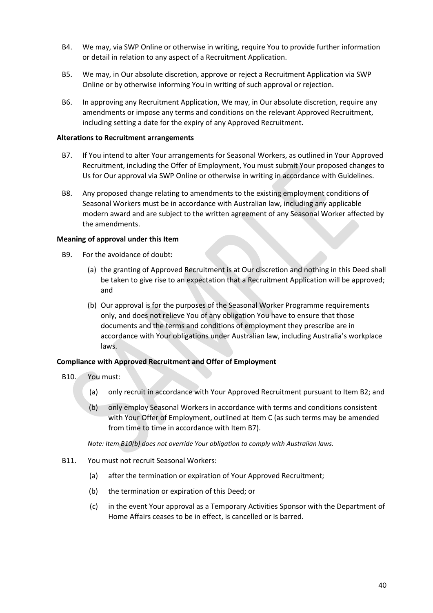- B4. We may, via SWP Online or otherwise in writing, require You to provide further information or detail in relation to any aspect of a Recruitment Application.
- B5. We may, in Our absolute discretion, approve or reject a Recruitment Application via SWP Online or by otherwise informing You in writing of such approval or rejection.
- B6. In approving any Recruitment Application, We may, in Our absolute discretion, require any amendments or impose any terms and conditions on the relevant Approved Recruitment, including setting a date for the expiry of any Approved Recruitment.

#### **Alterations to Recruitment arrangements**

- B7. If You intend to alter Your arrangements for Seasonal Workers, as outlined in Your Approved Recruitment, including the Offer of Employment, You must submit Your proposed changes to Us for Our approval via SWP Online or otherwise in writing in accordance with Guidelines.
- B8. Any proposed change relating to amendments to the existing employment conditions of Seasonal Workers must be in accordance with Australian law, including any applicable modern award and are subject to the written agreement of any Seasonal Worker affected by the amendments.

#### **Meaning of approval under this Item**

- B9. For the avoidance of doubt:
	- (a) the granting of Approved Recruitment is at Our discretion and nothing in this Deed shall be taken to give rise to an expectation that a Recruitment Application will be approved; and
	- (b) Our approval is for the purposes of the Seasonal Worker Programme requirements only, and does not relieve You of any obligation You have to ensure that those documents and the terms and conditions of employment they prescribe are in accordance with Your obligations under Australian law, including Australia's workplace laws.

#### **Compliance with Approved Recruitment and Offer of Employment**

- B10. You must:
	- (a) only recruit in accordance with Your Approved Recruitment pursuant to Item B2; and
	- (b) only employ Seasonal Workers in accordance with terms and conditions consistent with Your Offer of Employment, outlined at Item C (as such terms may be amended from time to time in accordance with Item B7).

*Note: Item B10(b) does not override Your obligation to comply with Australian laws.*

- B11. You must not recruit Seasonal Workers:
	- (a) after the termination or expiration of Your Approved Recruitment;
	- (b) the termination or expiration of this Deed; or
	- (c) in the event Your approval as a Temporary Activities Sponsor with the Department of Home Affairs ceases to be in effect, is cancelled or is barred.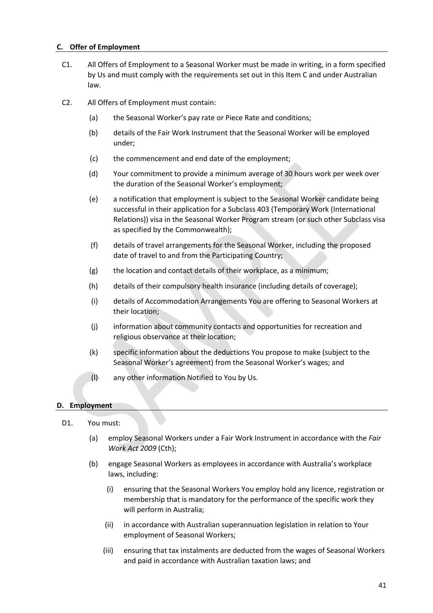#### <span id="page-40-0"></span>**C. Offer of Employment**

- C1. All Offers of Employment to a Seasonal Worker must be made in writing, in a form specified by Us and must comply with the requirements set out in this Item C and under Australian law.
- C2. All Offers of Employment must contain:
	- (a) the Seasonal Worker's pay rate or Piece Rate and conditions;
	- (b) details of the Fair Work Instrument that the Seasonal Worker will be employed under;
	- (c) the commencement and end date of the employment;
	- (d) Your commitment to provide a minimum average of 30 hours work per week over the duration of the Seasonal Worker's employment;
	- (e) a notification that employment is subject to the Seasonal Worker candidate being successful in their application for a Subclass 403 (Temporary Work (International Relations)) visa in the Seasonal Worker Program stream (or such other Subclass visa as specified by the Commonwealth);
	- (f) details of travel arrangements for the Seasonal Worker, including the proposed date of travel to and from the Participating Country;
	- (g) the location and contact details of their workplace, as a minimum;
	- (h) details of their compulsory health insurance (including details of coverage);
	- (i) details of Accommodation Arrangements You are offering to Seasonal Workers at their location;
	- (j) information about community contacts and opportunities for recreation and religious observance at their location;
	- (k) specific information about the deductions You propose to make (subject to the Seasonal Worker's agreement) from the Seasonal Worker's wages; and
	- (l) any other information Notified to You by Us.

#### <span id="page-40-1"></span>**D. Employment**

- D1. You must:
	- (a) employ Seasonal Workers under a Fair Work Instrument in accordance with the *Fair Work Act 2009* (Cth);
	- (b) engage Seasonal Workers as employees in accordance with Australia's workplace laws, including:
		- (i) ensuring that the Seasonal Workers You employ hold any licence, registration or membership that is mandatory for the performance of the specific work they will perform in Australia;
		- (ii) in accordance with Australian superannuation legislation in relation to Your employment of Seasonal Workers;
		- (iii) ensuring that tax instalments are deducted from the wages of Seasonal Workers and paid in accordance with Australian taxation laws; and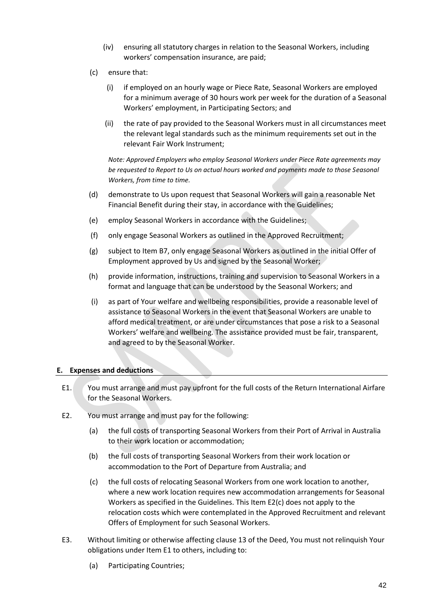- (iv) ensuring all statutory charges in relation to the Seasonal Workers, including workers' compensation insurance, are paid;
- (c) ensure that:
	- (i) if employed on an hourly wage or Piece Rate, Seasonal Workers are employed for a minimum average of 30 hours work per week for the duration of a Seasonal Workers' employment, in Participating Sectors; and
	- (ii) the rate of pay provided to the Seasonal Workers must in all circumstances meet the relevant legal standards such as the minimum requirements set out in the relevant Fair Work Instrument;

*Note: Approved Employers who employ Seasonal Workers under Piece Rate agreements may be requested to Report to Us on actual hours worked and payments made to those Seasonal Workers, from time to time.*

- (d) demonstrate to Us upon request that Seasonal Workers will gain a reasonable Net Financial Benefit during their stay, in accordance with the Guidelines;
- (e) employ Seasonal Workers in accordance with the Guidelines;
- (f) only engage Seasonal Workers as outlined in the Approved Recruitment;
- (g) subject to Item B7, only engage Seasonal Workers as outlined in the initial Offer of Employment approved by Us and signed by the Seasonal Worker;
- (h) provide information, instructions, training and supervision to Seasonal Workers in a format and language that can be understood by the Seasonal Workers; and
- (i) as part of Your welfare and wellbeing responsibilities, provide a reasonable level of assistance to Seasonal Workers in the event that Seasonal Workers are unable to afford medical treatment, or are under circumstances that pose a risk to a Seasonal Workers' welfare and wellbeing. The assistance provided must be fair, transparent, and agreed to by the Seasonal Worker.

#### <span id="page-41-0"></span>**E. Expenses and deductions**

- E1. You must arrange and must pay upfront for the full costs of the Return International Airfare for the Seasonal Workers.
- E2. You must arrange and must pay for the following:
	- (a) the full costs of transporting Seasonal Workers from their Port of Arrival in Australia to their work location or accommodation;
	- (b) the full costs of transporting Seasonal Workers from their work location or accommodation to the Port of Departure from Australia; and
	- (c) the full costs of relocating Seasonal Workers from one work location to another, where a new work location requires new accommodation arrangements for Seasonal Workers as specified in the Guidelines. This Item E2(c) does not apply to the relocation costs which were contemplated in the Approved Recruitment and relevant Offers of Employment for such Seasonal Workers.
- E3. Without limiting or otherwise affecting clause 13 of the Deed, You must not relinquish Your obligations under Item E1 to others, including to:
	- (a) Participating Countries;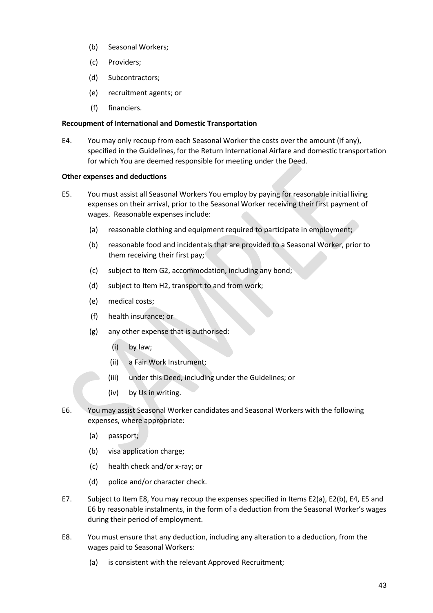- (b) Seasonal Workers;
- (c) Providers;
- (d) Subcontractors;
- (e) recruitment agents; or
- (f) financiers.

#### **Recoupment of International and Domestic Transportation**

E4. You may only recoup from each Seasonal Worker the costs over the amount (if any), specified in the Guidelines, for the Return International Airfare and domestic transportation for which You are deemed responsible for meeting under the Deed.

#### **Other expenses and deductions**

- E5. You must assist all Seasonal Workers You employ by paying for reasonable initial living expenses on their arrival, prior to the Seasonal Worker receiving their first payment of wages. Reasonable expenses include:
	- (a) reasonable clothing and equipment required to participate in employment;
	- (b) reasonable food and incidentals that are provided to a Seasonal Worker, prior to them receiving their first pay;
	- (c) subject to Item G2, accommodation, including any bond;
	- (d) subject to Item H2, transport to and from work;
	- (e) medical costs;
	- (f) health insurance; or
	- (g) any other expense that is authorised:
		- (i) by law;
		- (ii) a Fair Work Instrument;
		- (iii) under this Deed, including under the Guidelines; or
		- (iv) by Us in writing.
- E6. You may assist Seasonal Worker candidates and Seasonal Workers with the following expenses, where appropriate:
	- (a) passport;
	- (b) visa application charge;
	- (c) health check and/or x-ray; or
	- (d) police and/or character check.
- E7. Subject to Item E8, You may recoup the expenses specified in Items E2(a), E2(b), E4, E5 and E6 by reasonable instalments, in the form of a deduction from the Seasonal Worker's wages during their period of employment.
- E8. You must ensure that any deduction, including any alteration to a deduction, from the wages paid to Seasonal Workers:
	- (a) is consistent with the relevant Approved Recruitment;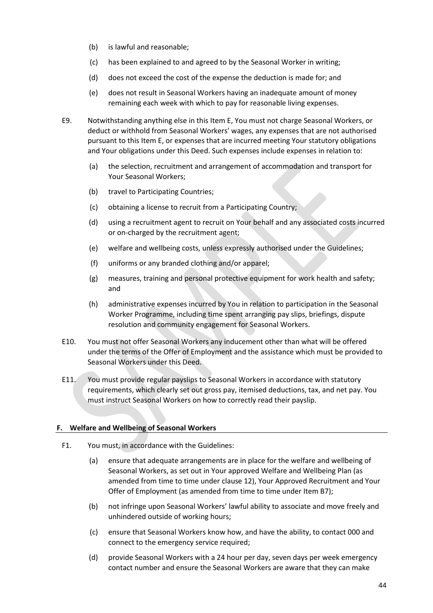- (b) is lawful and reasonable;
- (c) has been explained to and agreed to by the Seasonal Worker in writing;
- (d) does not exceed the cost of the expense the deduction is made for; and
- (e) does not result in Seasonal Workers having an inadequate amount of money remaining each week with which to pay for reasonable living expenses.
- E9. Notwithstanding anything else in this Item E, You must not charge Seasonal Workers, or deduct or withhold from Seasonal Workers' wages, any expenses that are not authorised pursuant to this Item E, or expenses that are incurred meeting Your statutory obligations and Your obligations under this Deed. Such expenses include expenses in relation to:
	- (a) the selection, recruitment and arrangement of accommodation and transport for Your Seasonal Workers;
	- (b) travel to Participating Countries;
	- (c) obtaining a license to recruit from a Participating Country;
	- (d) using a recruitment agent to recruit on Your behalf and any associated costs incurred or on-charged by the recruitment agent;
	- (e) welfare and wellbeing costs, unless expressly authorised under the Guidelines;
	- (f) uniforms or any branded clothing and/or apparel;
	- (g) measures, training and personal protective equipment for work health and safety; and
	- (h) administrative expenses incurred by You in relation to participation in the Seasonal Worker Programme, including time spent arranging pay slips, briefings, dispute resolution and community engagement for Seasonal Workers.
- E10. You must not offer Seasonal Workers any inducement other than what will be offered under the terms of the Offer of Employment and the assistance which must be provided to Seasonal Workers under this Deed.
- E11. You must provide regular payslips to Seasonal Workers in accordance with statutory requirements, which clearly set out gross pay, itemised deductions, tax, and net pay. You must instruct Seasonal Workers on how to correctly read their payslip.

#### <span id="page-43-0"></span>**F. Welfare and Wellbeing of Seasonal Workers**

- F1. You must, in accordance with the Guidelines:
	- (a) ensure that adequate arrangements are in place for the welfare and wellbeing of Seasonal Workers, as set out in Your approved Welfare and Wellbeing Plan (as amended from time to time under clause 12), Your Approved Recruitment and Your Offer of Employment (as amended from time to time under Item B7);
	- (b) not infringe upon Seasonal Workers' lawful ability to associate and move freely and unhindered outside of working hours;
	- (c) ensure that Seasonal Workers know how, and have the ability, to contact 000 and connect to the emergency service required;
	- (d) provide Seasonal Workers with a 24 hour per day, seven days per week emergency contact number and ensure the Seasonal Workers are aware that they can make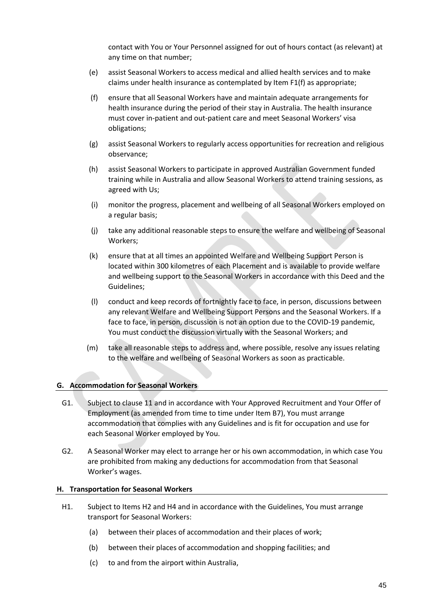contact with You or Your Personnel assigned for out of hours contact (as relevant) at any time on that number;

- (e) assist Seasonal Workers to access medical and allied health services and to make claims under health insurance as contemplated by Item F1(f) as appropriate;
- (f) ensure that all Seasonal Workers have and maintain adequate arrangements for health insurance during the period of their stay in Australia. The health insurance must cover in-patient and out-patient care and meet Seasonal Workers' visa obligations;
- (g) assist Seasonal Workers to regularly access opportunities for recreation and religious observance;
- (h) assist Seasonal Workers to participate in approved Australian Government funded training while in Australia and allow Seasonal Workers to attend training sessions, as agreed with Us;
- (i) monitor the progress, placement and wellbeing of all Seasonal Workers employed on a regular basis;
- (j) take any additional reasonable steps to ensure the welfare and wellbeing of Seasonal Workers;
- (k) ensure that at all times an appointed Welfare and Wellbeing Support Person is located within 300 kilometres of each Placement and is available to provide welfare and wellbeing support to the Seasonal Workers in accordance with this Deed and the Guidelines;
- (l) conduct and keep records of fortnightly face to face, in person, discussions between any relevant Welfare and Wellbeing Support Persons and the Seasonal Workers. If a face to face, in person, discussion is not an option due to the COVID-19 pandemic, You must conduct the discussion virtually with the Seasonal Workers; and
- (m) take all reasonable steps to address and, where possible, resolve any issues relating to the welfare and wellbeing of Seasonal Workers as soon as practicable.

#### <span id="page-44-0"></span>**G. Accommodation for Seasonal Workers**

- G1. Subject to clause 11 and in accordance with Your Approved Recruitment and Your Offer of Employment (as amended from time to time under Item B7), You must arrange accommodation that complies with any Guidelines and is fit for occupation and use for each Seasonal Worker employed by You.
- G2. A Seasonal Worker may elect to arrange her or his own accommodation, in which case You are prohibited from making any deductions for accommodation from that Seasonal Worker's wages.

#### <span id="page-44-1"></span>**H. Transportation for Seasonal Workers**

- H1. Subject to Items H2 and H4 and in accordance with the Guidelines, You must arrange transport for Seasonal Workers:
	- (a) between their places of accommodation and their places of work;
	- (b) between their places of accommodation and shopping facilities; and
	- (c) to and from the airport within Australia,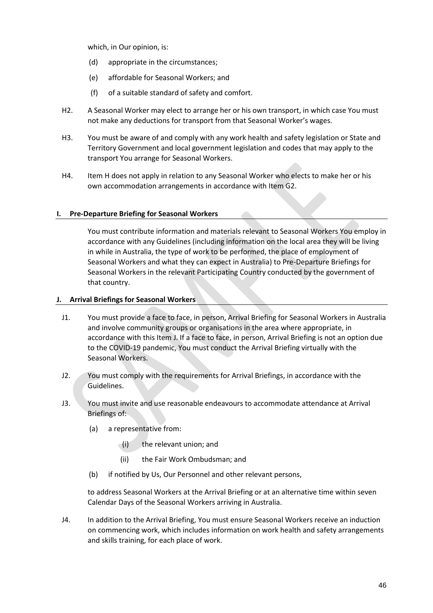which, in Our opinion, is:

- (d) appropriate in the circumstances;
- (e) affordable for Seasonal Workers; and
- (f) of a suitable standard of safety and comfort.
- H2. A Seasonal Worker may elect to arrange her or his own transport, in which case You must not make any deductions for transport from that Seasonal Worker's wages.
- H3. You must be aware of and comply with any work health and safety legislation or State and Territory Government and local government legislation and codes that may apply to the transport You arrange for Seasonal Workers.
- H4. Item H does not apply in relation to any Seasonal Worker who elects to make her or his own accommodation arrangements in accordance with Item G2.

#### <span id="page-45-0"></span>**I. Pre-Departure Briefing for Seasonal Workers**

You must contribute information and materials relevant to Seasonal Workers You employ in accordance with any Guidelines (including information on the local area they will be living in while in Australia, the type of work to be performed, the place of employment of Seasonal Workers and what they can expect in Australia) to Pre-Departure Briefings for Seasonal Workers in the relevant Participating Country conducted by the government of that country.

#### <span id="page-45-1"></span>**J. Arrival Briefings for Seasonal Workers**

- J1. You must provide a face to face, in person, Arrival Briefing for Seasonal Workers in Australia and involve community groups or organisations in the area where appropriate, in accordance with this Item J. If a face to face, in person, Arrival Briefing is not an option due to the COVID-19 pandemic, You must conduct the Arrival Briefing virtually with the Seasonal Workers.
- J2. You must comply with the requirements for Arrival Briefings, in accordance with the Guidelines.
- J3. You must invite and use reasonable endeavours to accommodate attendance at Arrival Briefings of:
	- (a) a representative from:
		- (i) the relevant union; and
		- (ii) the Fair Work Ombudsman; and
	- (b) if notified by Us, Our Personnel and other relevant persons,

to address Seasonal Workers at the Arrival Briefing or at an alternative time within seven Calendar Days of the Seasonal Workers arriving in Australia.

J4. In addition to the Arrival Briefing, You must ensure Seasonal Workers receive an induction on commencing work, which includes information on work health and safety arrangements and skills training, for each place of work.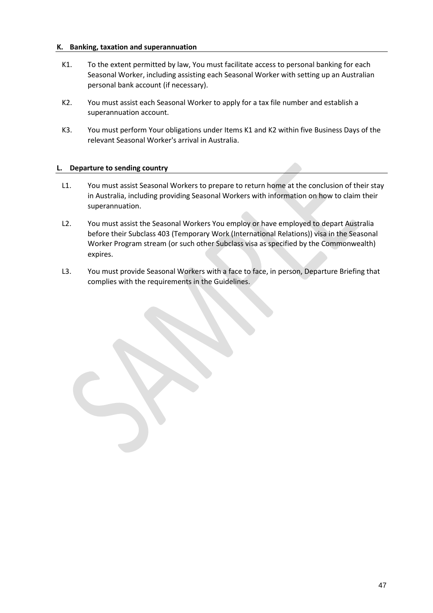#### <span id="page-46-0"></span>**K. Banking, taxation and superannuation**

- K1. To the extent permitted by law, You must facilitate access to personal banking for each Seasonal Worker, including assisting each Seasonal Worker with setting up an Australian personal bank account (if necessary).
- K2. You must assist each Seasonal Worker to apply for a tax file number and establish a superannuation account.
- K3. You must perform Your obligations under Items K1 and K2 within five Business Days of the relevant Seasonal Worker's arrival in Australia.

#### <span id="page-46-1"></span>**L. Departure to sending country**

- L1. You must assist Seasonal Workers to prepare to return home at the conclusion of their stay in Australia, including providing Seasonal Workers with information on how to claim their superannuation.
- L2. You must assist the Seasonal Workers You employ or have employed to depart Australia before their Subclass 403 (Temporary Work (International Relations)) visa in the Seasonal Worker Program stream (or such other Subclass visa as specified by the Commonwealth) expires.
- L3. You must provide Seasonal Workers with a face to face, in person, Departure Briefing that complies with the requirements in the Guidelines.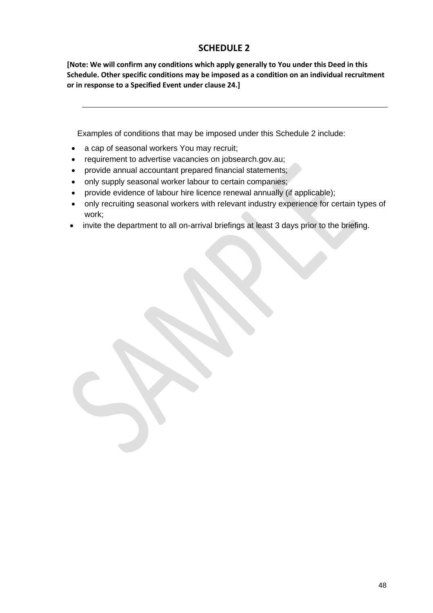## **SCHEDULE 2**

<span id="page-47-0"></span>**[Note: We will confirm any conditions which apply generally to You under this Deed in this Schedule. Other specific conditions may be imposed as a condition on an individual recruitment or in response to a Specified Event under clause 24.]**

Examples of conditions that may be imposed under this Schedule 2 include:

- a cap of seasonal workers You may recruit;
- requirement to advertise vacancies on jobsearch.gov.au;
- provide annual accountant prepared financial statements;
- only supply seasonal worker labour to certain companies;
- provide evidence of labour hire licence renewal annually (if applicable);
- only recruiting seasonal workers with relevant industry experience for certain types of work;
- invite the department to all on-arrival briefings at least 3 days prior to the briefing.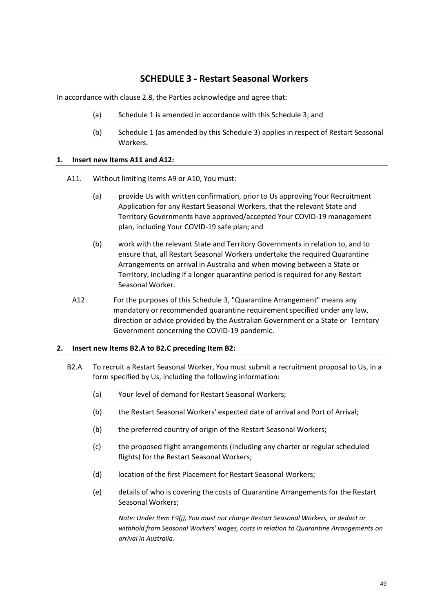## **SCHEDULE 3 - Restart Seasonal Workers**

<span id="page-48-0"></span>In accordance with claus[e 2.8,](#page-13-3) the Parties acknowledge and agree that:

- (a) Schedule 1 is amended in accordance with this Schedule 3; and
- (b) Schedule 1 (as amended by this Schedule 3) applies in respect of Restart Seasonal Workers.

#### **1. Insert new Items A11 and A12:**

- A11. Without limiting Items A9 or A10, You must:
	- (a) provide Us with written confirmation, prior to Us approving Your Recruitment Application for any Restart Seasonal Workers, that the relevant State and Territory Governments have approved/accepted Your COVID-19 management plan, including Your COVID-19 safe plan; and
	- (b) work with the relevant State and Territory Governments in relation to, and to ensure that, all Restart Seasonal Workers undertake the required Quarantine Arrangements on arrival in Australia and when moving between a State or Territory, including if a longer quarantine period is required for any Restart Seasonal Worker.
	- A12. For the purposes of this Schedule 3, "Quarantine Arrangement" means any mandatory or recommended quarantine requirement specified under any law, direction or advice provided by the Australian Government or a State or Territory Government concerning the COVID-19 pandemic.

#### **2. Insert new Items B2.A to B2.C preceding Item B2:**

- B2.A. To recruit a Restart Seasonal Worker, You must submit a recruitment proposal to Us, in a form specified by Us, including the following information:
	- (a) Your level of demand for Restart Seasonal Workers;
	- (b) the Restart Seasonal Workers' expected date of arrival and Port of Arrival;
	- (b) the preferred country of origin of the Restart Seasonal Workers;
	- (c) the proposed flight arrangements (including any charter or regular scheduled flights) for the Restart Seasonal Workers;
	- (d) location of the first Placement for Restart Seasonal Workers;
	- (e) details of who is covering the costs of Quarantine Arrangements for the Restart Seasonal Workers;

*Note: Under Item E9(j), You must not charge Restart Seasonal Workers, or deduct or withhold from Seasonal Workers' wages, costs in relation to Quarantine Arrangements on arrival in Australia.*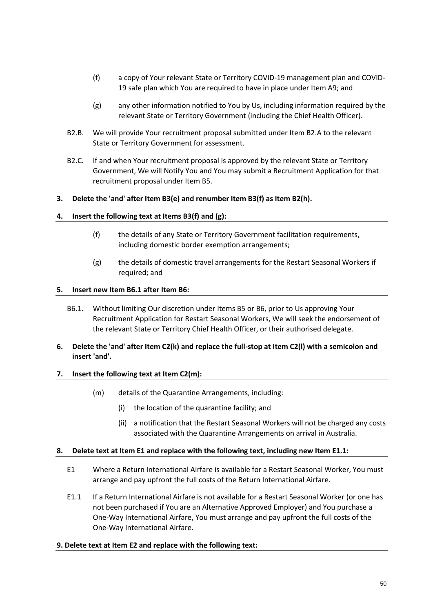- (f) a copy of Your relevant State or Territory COVID-19 management plan and COVID-19 safe plan which You are required to have in place under Item A9; and
- (g) any other information notified to You by Us, including information required by the relevant State or Territory Government (including the Chief Health Officer).
- B2.B. We will provide Your recruitment proposal submitted under Item B2.A to the relevant State or Territory Government for assessment.
- B2.C. If and when Your recruitment proposal is approved by the relevant State or Territory Government, We will Notify You and You may submit a Recruitment Application for that recruitment proposal under Item B5.

#### **3. Delete the 'and' after Item B3(e) and renumber Item B3(f) as Item B2(h).**

#### **4. Insert the following text at Items B3(f) and (g):**

- (f) the details of any State or Territory Government facilitation requirements, including domestic border exemption arrangements;
- (g) the details of domestic travel arrangements for the Restart Seasonal Workers if required; and

#### **5. Insert new Item B6.1 after Item B6:**

B6.1. Without limiting Our discretion under Items B5 or B6, prior to Us approving Your Recruitment Application for Restart Seasonal Workers, We will seek the endorsement of the relevant State or Territory Chief Health Officer, or their authorised delegate.

#### **6. Delete the 'and' after Item C2(k) and replace the full-stop at Item C2(l) with a semicolon and insert 'and'.**

#### **7. Insert the following text at Item C2(m):**

- (m) details of the Quarantine Arrangements, including:
	- (i) the location of the quarantine facility; and
	- (ii) a notification that the Restart Seasonal Workers will not be charged any costs associated with the Quarantine Arrangements on arrival in Australia.

#### **8. Delete text at Item E1 and replace with the following text, including new Item E1.1:**

- E1 Where a Return International Airfare is available for a Restart Seasonal Worker, You must arrange and pay upfront the full costs of the Return International Airfare.
- E1.1 If a Return International Airfare is not available for a Restart Seasonal Worker (or one has not been purchased if You are an Alternative Approved Employer) and You purchase a One-Way International Airfare, You must arrange and pay upfront the full costs of the One-Way International Airfare.

#### **9. Delete text at Item E2 and replace with the following text:**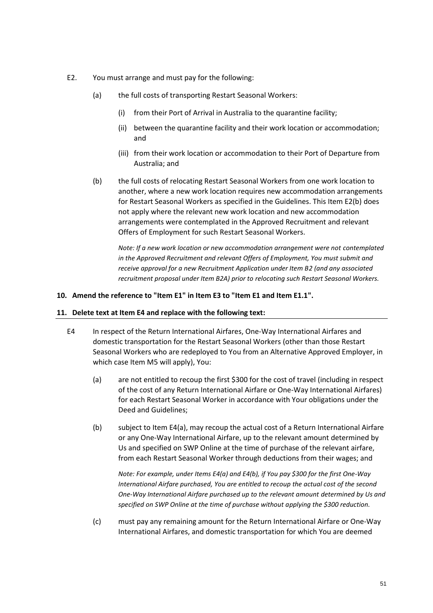- E2. You must arrange and must pay for the following:
	- (a) the full costs of transporting Restart Seasonal Workers:
		- (i) from their Port of Arrival in Australia to the quarantine facility;
		- (ii) between the quarantine facility and their work location or accommodation; and
		- (iii) from their work location or accommodation to their Port of Departure from Australia; and
	- (b) the full costs of relocating Restart Seasonal Workers from one work location to another, where a new work location requires new accommodation arrangements for Restart Seasonal Workers as specified in the Guidelines. This Item E2(b) does not apply where the relevant new work location and new accommodation arrangements were contemplated in the Approved Recruitment and relevant Offers of Employment for such Restart Seasonal Workers.

*Note: If a new work location or new accommodation arrangement were not contemplated in the Approved Recruitment and relevant Offers of Employment, You must submit and receive approval for a new Recruitment Application under Item B2 (and any associated recruitment proposal under Item B2A) prior to relocating such Restart Seasonal Workers.* 

#### **10. Amend the reference to "Item E1" in Item E3 to "Item E1 and Item E1.1".**

#### **11. Delete text at Item E4 and replace with the following text:**

- E4 In respect of the Return International Airfares, One-Way International Airfares and domestic transportation for the Restart Seasonal Workers (other than those Restart Seasonal Workers who are redeployed to You from an Alternative Approved Employer, in which case Item M5 will apply), You:
	- (a) are not entitled to recoup the first \$300 for the cost of travel (including in respect of the cost of any Return International Airfare or One-Way International Airfares) for each Restart Seasonal Worker in accordance with Your obligations under the Deed and Guidelines;
	- (b) subject to Item E4(a), may recoup the actual cost of a Return International Airfare or any One-Way International Airfare, up to the relevant amount determined by Us and specified on SWP Online at the time of purchase of the relevant airfare, from each Restart Seasonal Worker through deductions from their wages; and

*Note: For example, under Items E4(a) and E4(b), if You pay \$300 for the first One-Way International Airfare purchased, You are entitled to recoup the actual cost of the second One-Way International Airfare purchased up to the relevant amount determined by Us and specified on SWP Online at the time of purchase without applying the \$300 reduction.* 

(c) must pay any remaining amount for the Return International Airfare or One-Way International Airfares, and domestic transportation for which You are deemed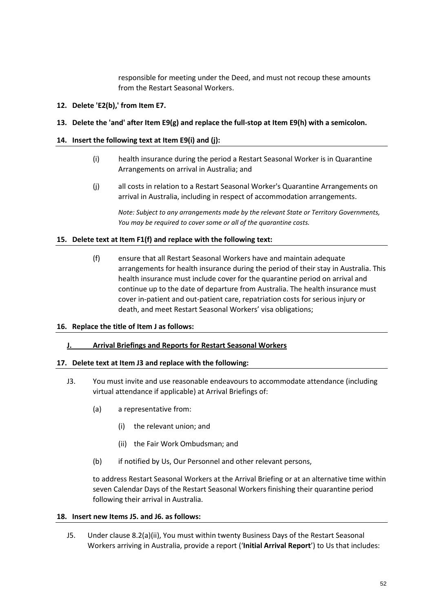responsible for meeting under the Deed, and must not recoup these amounts from the Restart Seasonal Workers.

#### **12. Delete 'E2(b),' from Item E7.**

#### **13. Delete the 'and' after Item E9(g) and replace the full-stop at Item E9(h) with a semicolon.**

#### **14. Insert the following text at Item E9(i) and (j):**

- (i) health insurance during the period a Restart Seasonal Worker is in Quarantine Arrangements on arrival in Australia; and
- (j) all costs in relation to a Restart Seasonal Worker's Quarantine Arrangements on arrival in Australia, including in respect of accommodation arrangements.

*Note: Subject to any arrangements made by the relevant State or Territory Governments, You may be required to cover some or all of the quarantine costs.*

#### **15. Delete text at Item F1(f) and replace with the following text:**

(f) ensure that all Restart Seasonal Workers have and maintain adequate arrangements for health insurance during the period of their stay in Australia. This health insurance must include cover for the quarantine period on arrival and continue up to the date of departure from Australia. The health insurance must cover in-patient and out-patient care, repatriation costs for serious injury or death, and meet Restart Seasonal Workers' visa obligations;

#### **16. Replace the title of Item J as follows:**

#### **J. Arrival Briefings and Reports for Restart Seasonal Workers**

#### **17. Delete text at Item J3 and replace with the following:**

- J3. You must invite and use reasonable endeavours to accommodate attendance (including virtual attendance if applicable) at Arrival Briefings of:
	- (a) a representative from:
		- (i) the relevant union; and
		- (ii) the Fair Work Ombudsman; and
	- (b) if notified by Us, Our Personnel and other relevant persons,

to address Restart Seasonal Workers at the Arrival Briefing or at an alternative time within seven Calendar Days of the Restart Seasonal Workers finishing their quarantine period following their arrival in Australia.

#### **18. Insert new Items J5. and J6. as follows:**

J5. Under clause 8.2(a)(ii), You must within twenty Business Days of the Restart Seasonal Workers arriving in Australia, provide a report ('**Initial Arrival Report**') to Us that includes: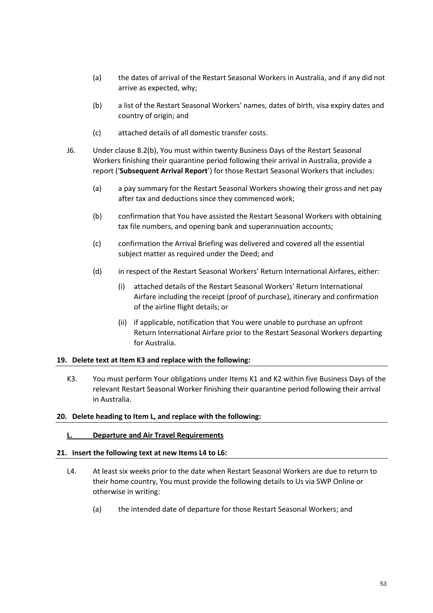- (a) the dates of arrival of the Restart Seasonal Workers in Australia, and if any did not arrive as expected, why;
- (b) a list of the Restart Seasonal Workers' names, dates of birth, visa expiry dates and country of origin; and
- (c) attached details of all domestic transfer costs.
- J6. Under clause 8.2(b), You must within twenty Business Days of the Restart Seasonal Workers finishing their quarantine period following their arrival in Australia, provide a report ('**Subsequent Arrival Report**') for those Restart Seasonal Workers that includes:
	- (a) a pay summary for the Restart Seasonal Workers showing their gross and net pay after tax and deductions since they commenced work;
	- (b) confirmation that You have assisted the Restart Seasonal Workers with obtaining tax file numbers, and opening bank and superannuation accounts;
	- (c) confirmation the Arrival Briefing was delivered and covered all the essential subject matter as required under the Deed; and
	- (d) in respect of the Restart Seasonal Workers' Return International Airfares, either:
		- (i) attached details of the Restart Seasonal Workers' Return International Airfare including the receipt (proof of purchase), itinerary and confirmation of the airline flight details; or
		- (ii) if applicable, notification that You were unable to purchase an upfront Return International Airfare prior to the Restart Seasonal Workers departing for Australia.

#### **19. Delete text at Item K3 and replace with the following:**

K3. You must perform Your obligations under Items K1 and K2 within five Business Days of the relevant Restart Seasonal Worker finishing their quarantine period following their arrival in Australia.

#### **20. Delete heading to Item L, and replace with the following:**

#### **L. Departure and Air Travel Requirements**

#### **21. Insert the following text at new Items L4 to L6:**

- L4. At least six weeks prior to the date when Restart Seasonal Workers are due to return to their home country, You must provide the following details to Us via SWP Online or otherwise in writing:
	- (a) the intended date of departure for those Restart Seasonal Workers; and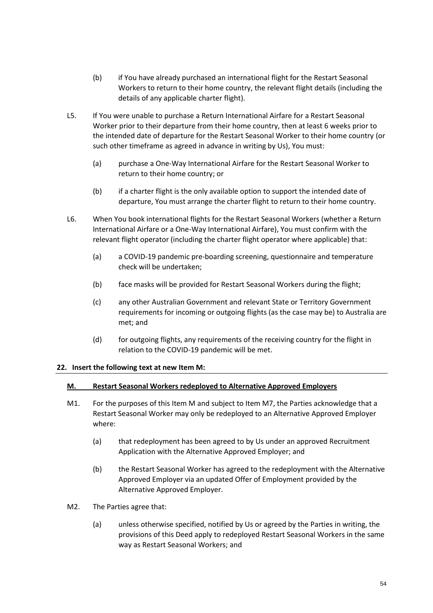- (b) if You have already purchased an international flight for the Restart Seasonal Workers to return to their home country, the relevant flight details (including the details of any applicable charter flight).
- L5. If You were unable to purchase a Return International Airfare for a Restart Seasonal Worker prior to their departure from their home country, then at least 6 weeks prior to the intended date of departure for the Restart Seasonal Worker to their home country (or such other timeframe as agreed in advance in writing by Us), You must:
	- (a) purchase a One-Way International Airfare for the Restart Seasonal Worker to return to their home country; or
	- (b) if a charter flight is the only available option to support the intended date of departure, You must arrange the charter flight to return to their home country.
- L6. When You book international flights for the Restart Seasonal Workers (whether a Return International Airfare or a One-Way International Airfare), You must confirm with the relevant flight operator (including the charter flight operator where applicable) that:
	- (a) a COVID-19 pandemic pre-boarding screening, questionnaire and temperature check will be undertaken;
	- (b) face masks will be provided for Restart Seasonal Workers during the flight;
	- (c) any other Australian Government and relevant State or Territory Government requirements for incoming or outgoing flights (as the case may be) to Australia are met; and
	- (d) for outgoing flights, any requirements of the receiving country for the flight in relation to the COVID-19 pandemic will be met.

#### **22. Insert the following text at new Item M:**

#### **M. Restart Seasonal Workers redeployed to Alternative Approved Employers**

- M1. For the purposes of this Item M and subject to Item M7, the Parties acknowledge that a Restart Seasonal Worker may only be redeployed to an Alternative Approved Employer where:
	- (a) that redeployment has been agreed to by Us under an approved Recruitment Application with the Alternative Approved Employer; and
	- (b) the Restart Seasonal Worker has agreed to the redeployment with the Alternative Approved Employer via an updated Offer of Employment provided by the Alternative Approved Employer.
- M2. The Parties agree that:
	- (a) unless otherwise specified, notified by Us or agreed by the Parties in writing, the provisions of this Deed apply to redeployed Restart Seasonal Workers in the same way as Restart Seasonal Workers; and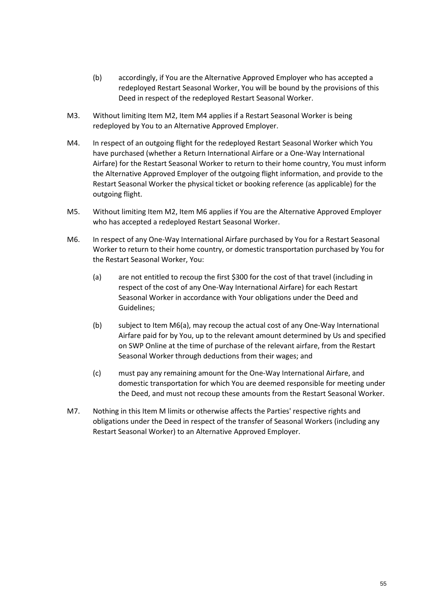- (b) accordingly, if You are the Alternative Approved Employer who has accepted a redeployed Restart Seasonal Worker, You will be bound by the provisions of this Deed in respect of the redeployed Restart Seasonal Worker.
- M3. Without limiting Item M2, Item M4 applies if a Restart Seasonal Worker is being redeployed by You to an Alternative Approved Employer.
- M4. In respect of an outgoing flight for the redeployed Restart Seasonal Worker which You have purchased (whether a Return International Airfare or a One-Way International Airfare) for the Restart Seasonal Worker to return to their home country, You must inform the Alternative Approved Employer of the outgoing flight information, and provide to the Restart Seasonal Worker the physical ticket or booking reference (as applicable) for the outgoing flight.
- M5. Without limiting Item M2, Item M6 applies if You are the Alternative Approved Employer who has accepted a redeployed Restart Seasonal Worker.
- M6. In respect of any One-Way International Airfare purchased by You for a Restart Seasonal Worker to return to their home country, or domestic transportation purchased by You for the Restart Seasonal Worker, You:
	- (a) are not entitled to recoup the first \$300 for the cost of that travel (including in respect of the cost of any One-Way International Airfare) for each Restart Seasonal Worker in accordance with Your obligations under the Deed and Guidelines;
	- (b) subject to Item M6(a), may recoup the actual cost of any One-Way International Airfare paid for by You, up to the relevant amount determined by Us and specified on SWP Online at the time of purchase of the relevant airfare, from the Restart Seasonal Worker through deductions from their wages; and
	- (c) must pay any remaining amount for the One-Way International Airfare, and domestic transportation for which You are deemed responsible for meeting under the Deed, and must not recoup these amounts from the Restart Seasonal Worker.
- M7. Nothing in this Item M limits or otherwise affects the Parties' respective rights and obligations under the Deed in respect of the transfer of Seasonal Workers (including any Restart Seasonal Worker) to an Alternative Approved Employer.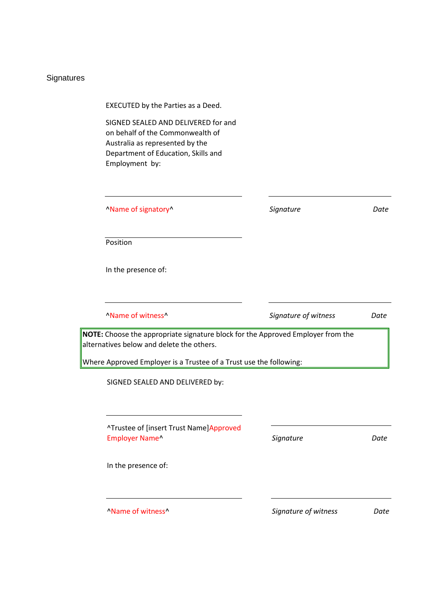# Signatures

| EXECUTED by the Parties as a Deed.                                                                                                                                                                 |                      |      |
|----------------------------------------------------------------------------------------------------------------------------------------------------------------------------------------------------|----------------------|------|
| SIGNED SEALED AND DELIVERED for and<br>on behalf of the Commonwealth of<br>Australia as represented by the<br>Department of Education, Skills and<br>Employment by:                                |                      |      |
| "Name of signatory"                                                                                                                                                                                | Signature            | Date |
| Position                                                                                                                                                                                           |                      |      |
| In the presence of:                                                                                                                                                                                |                      |      |
| "Name of witness"                                                                                                                                                                                  | Signature of witness | Date |
| NOTE: Choose the appropriate signature block for the Approved Employer from the<br>alternatives below and delete the others.<br>Where Approved Employer is a Trustee of a Trust use the following: |                      |      |
| SIGNED SEALED AND DELIVERED by:                                                                                                                                                                    |                      |      |
| ^Trustee of [insert Trust Name]Approved<br>Employer Name^                                                                                                                                          | Signature            | Date |
| In the presence of:                                                                                                                                                                                |                      |      |
| "Name of witness"                                                                                                                                                                                  | Signature of witness | Date |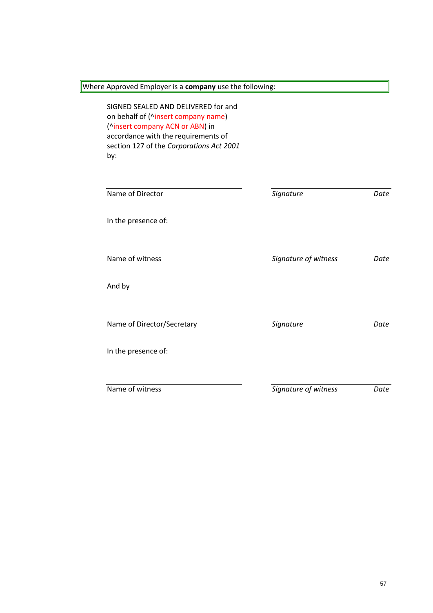Where Approved Employer is a **company** use the following:

SIGNED SEALED AND DELIVERED for and on behalf of (^insert company name) (^insert company ACN or ABN) in accordance with the requirements of section 127 of the *Corporations Act 2001* by:

| Name of Director           | Signature            | Date |
|----------------------------|----------------------|------|
| In the presence of:        |                      |      |
| Name of witness            | Signature of witness | Date |
| And by                     |                      |      |
| Name of Director/Secretary | Signature            | Date |
| In the presence of:        |                      |      |
|                            |                      |      |
| Name of witness            | Signature of witness | Date |